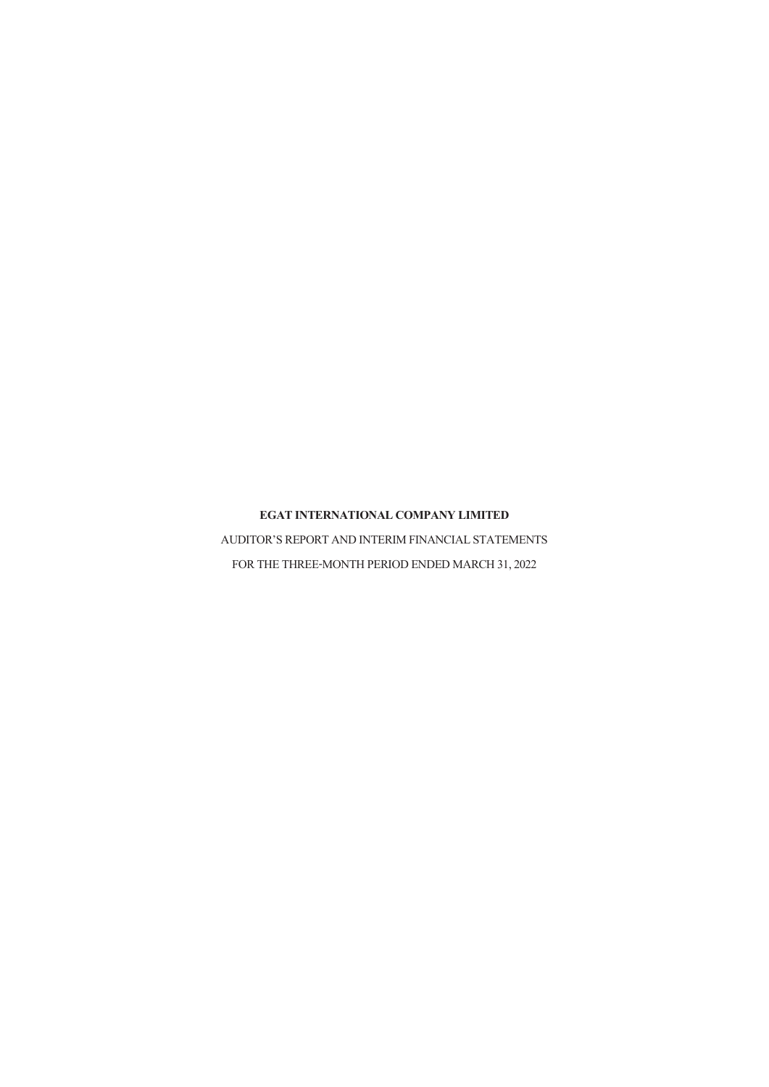AUDITOR'S REPORT AND INTERIM FINANCIAL STATEMENTS FOR THE THREE-MONTH PERIOD ENDED MARCH 31, 2022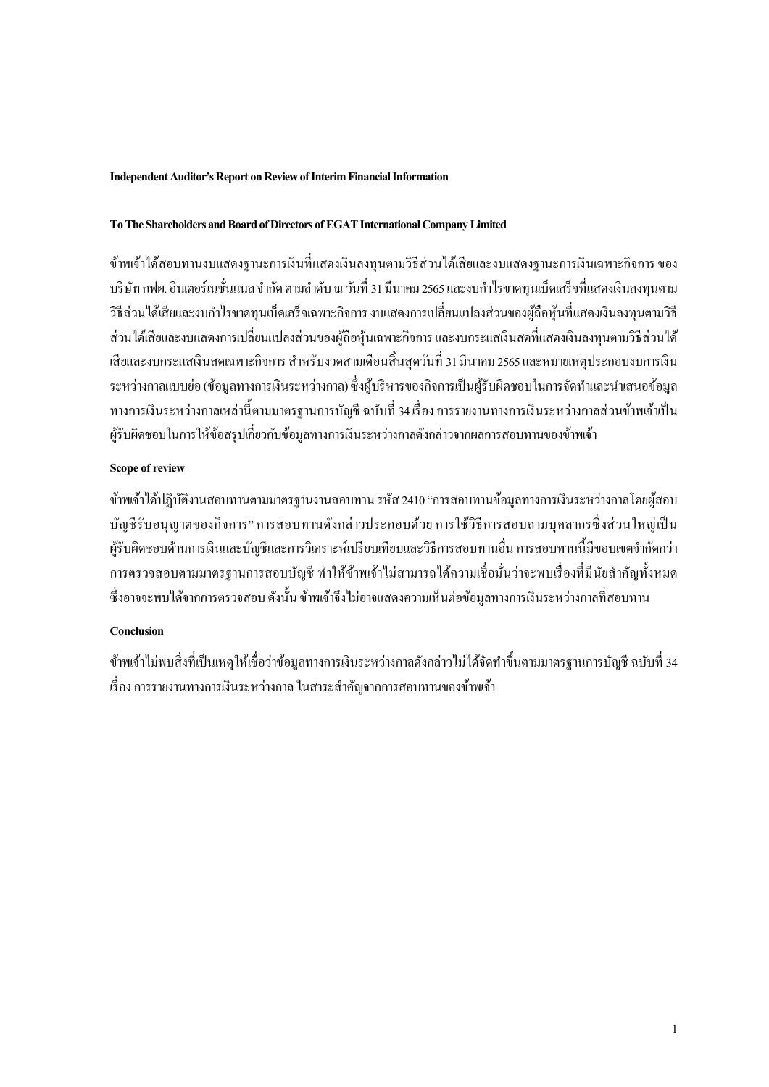### **Independent Auditor's Report on Review of Interim Financial Information**

### **To The Shareholders and Board of Directors ofEGAT International Company Limited**

ข้าพเจ้าได้สอบทานงบแสดงฐานะการเงินที่แสดงเงินลงทุนตามวิธีส่วนไดเ้สียและงบแสดงฐานะการเงินเฉพาะกิจการของ บริษัท กฟผ. อินเตอร์เนชั่นแนล จำกัด ตามลำดับ ณ วันที่ 31 มีนาคม 2565 และงบกำ ไรขาดทุนเบ็ดเสร็จที่แสดงเงินลงทุนตาม วธิีส่วนไดเ้สียและงบกา ไรขาดทุนเบ็ดเสร็จเฉพาะกิจการงบแสดงการเปลี่ยนแปลงส่วนของผูถ้ือหุ้นที่แสดงเงินลงทุนตามวิธี ้ส่วนได้เสียและงบแสดงการเปลี่ยนแปลงส่วนของผู้ถือหุ้นเฉพาะกิจการ และงบกระแสเงินสดที่แสดงเงินลงทุนตามวิธีส่วนได้ เสียและงบกระแสเงินสดเฉพาะกิจการ สำหรับงวดสามเดือนสิ้นสุดวันที่ 31 มีนาคม 2565 และหมายเหตุประกอบงบการเงิน ระหว่างกาลแบบย่อ (ข้อมูลทางการเงินระหว่างกาล) ซึ่งผู้บริหารของกิจการเป็นผู้รับผิดชอบในการจัดทำและนำเสนอข้อมูล ทางการเงินระหว่างกาลเหล่าน้ีตามมาตรฐานการบัญชี ฉบับที่ 34เรื่องการรายงานทางการเงินระหว่างกาลส่วนขา้พเจา้เป็น ผู้รับผิดชอบในการให้ข้อสรุปเกี่ยวกับข้อมูลทางการเงินระหว่างกาลดังกล่าวจากผลการสอบทานของข้าพเจ้า

# **Scope of review**

้ข้าพเจ้าได้ปฏิบัติงานสอบทานตามมาตรฐานงานสอบทาน รหัส 2410 "การสอบทานข้อมูลทางการเงินระหว่างกาลโดยผู้สอบ บัญชีรับอนุญาตของกิจการ" การสอบทานดังกล่าวประกอบด้วยการใช้วิธีการสอบถามบุคลากรซ่ึงส่วนใหญ่เป็น ผู้รับผิดชอบด้านการเงินและบัญชีและการวิเคราะห์เปรียบเทียบและวิธีการสอบทานอื่น การสอบทานนี้มีขอบเขตจำกัดกว่า ึ การตรวจสอบตามมาตรฐานการสอบบัญชี ทำให้ข้าพเจ้าไม่สามารถได้ความเชื่อมั่นว่าจะพบเรื่องที่มีนัยสำคัญทั้งหมด ี่ซึ่งอาจจะพบได้จากการตรวจสอบ ดังนั้น ข้าพเจ้าจึงไม่อาจแสดงความเห็นต่อข้อมูลทางการเงินระหว่างกาลที่สอบทาน

# **Conclusion**

้ข้าพเจ้าไม่พบสิ่งที่เป็นเหตุให้เชื่อว่าข้อมลทางการเงินระหว่างกาลดังกล่าวไม่ได้จัดทำขึ้นตามมาตรฐานการบัณชี ฉบับที่ 34 เรื่อง การรายงานทางการเงินระหว่างกาล ในสาระสำคัญจากการสอบทานของข้าพเจ้า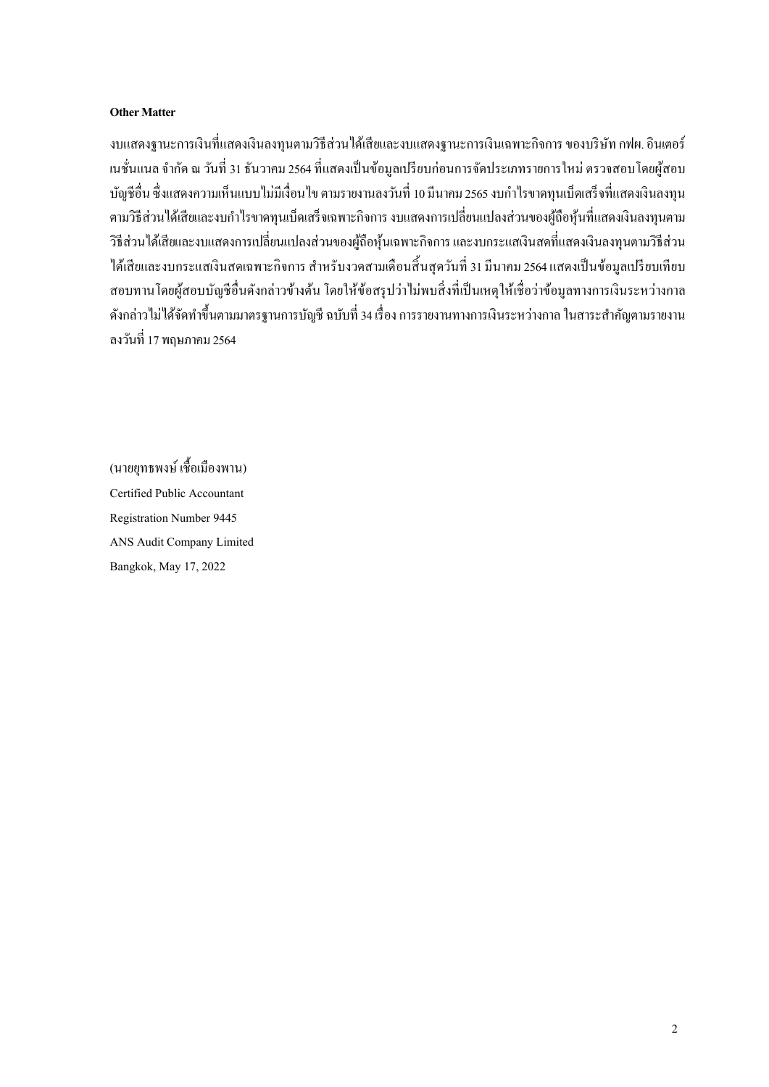### **Other Matter**

งบแสดงฐานะการเงินที่แสดงเงินลงทุนตามวิธีส่วนได้เสียและงบแสดงฐานะการเงินเฉพาะกิจการ ของบริษัท กฟผ. อินเตอร์ เนชั่นแนล จำกัด ณ วันที่ 31 ธันวาคม 2564 ที่แสดงเป็นข้อมูลเปรียบก่อนการจัดประเภทรายการใหม่ ตรวจสอบโดยผู้สอบ บัญชีอื่น ซึ่งแสดงความเห็นแบบไม่มีเงื่อนไข ตามรายงานลงวันที่ 10 มีนาคม 2565 งบกำไรขาดทุนเบ็ดเสร็จที่แสดงเงินลงทน ตามวธิีส่วนไดเ้สียและงบกา ไรขาดทุนเบ็ดเสร็จเฉพาะกิจการงบแสดงการเปลี่ยนแปลงส่วนของผูถ้ือหุน้ ที่แสดงเงินลงทุนตาม ้วิธีส่วนได้เสียและงบแสดงการเปลี่ยนแปลงส่วนของผู้ถือหุ้นเฉพาะกิจการ และงบกระแสเงินสดที่แสดงเงินลงทนตามวิธีส่วน ได้เสียและงบกระแสเงินสดเฉพาะกิจการ สำหรับงวดสามเดือนสิ้นสุดวันที่ 31 มีนาคม 2564 แสดงเป็นข้อมูลเปรียบเทียบ สอบทานโดยผู้สอบบัญชีอื่นดังกล่าวข้างต้น โดยให้ข้อสรุปว่าไม่พบสิ่งที่เป็นเหตุให้เชื่อว่าข้อมูลทางการเงินระหว่างกาล ้ ดังกล่าวไม่ได้จัดทำขึ้นตามมาตรฐานการบัญชี ฉบับที่ 34 เรื่อง การรายงานทางการเงินระหว่างกาล ในสาระสำคัญตามรายงาน ลงวันที่ 17 พฤษภาคม 2564

(นายยุทธพงษ์เช้ือเมืองพาน) Certified Public Accountant Registration Number 9445 ANS Audit Company Limited Bangkok, May 17, 2022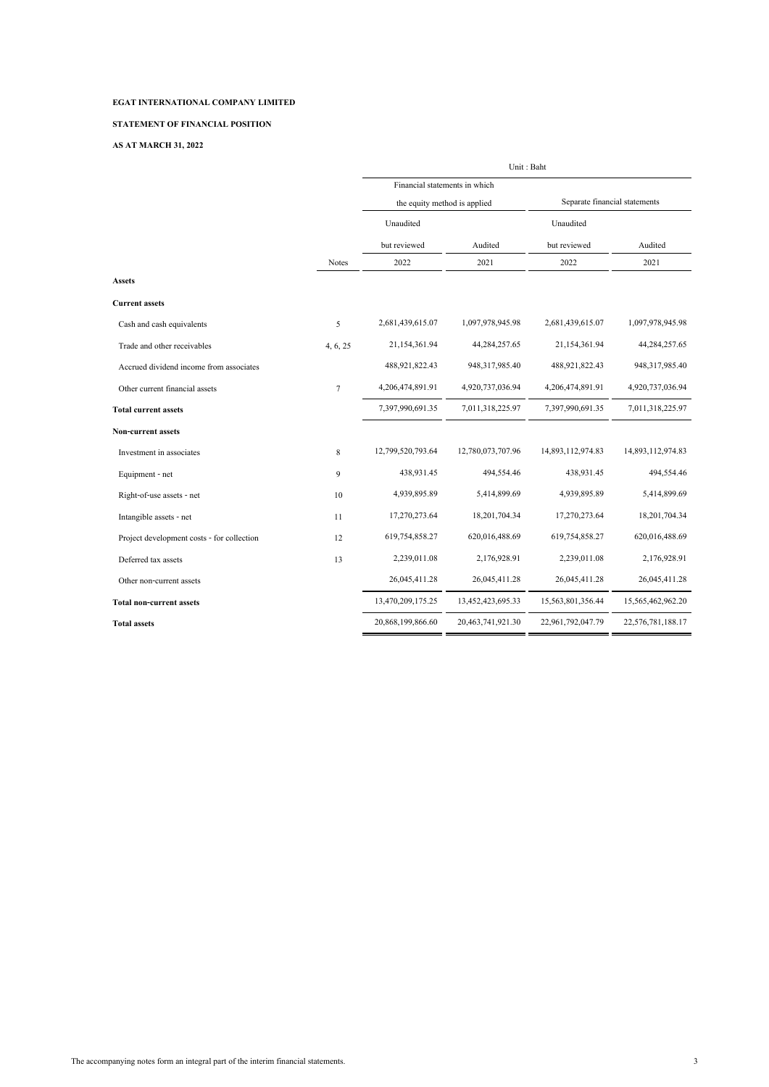### **STATEMENT OF FINANCIAL POSITION**

#### **AS AT MARCH 31, 2022**

| Financial statements in which<br>Separate financial statements<br>the equity method is applied<br>Unaudited<br>Unaudited<br>but reviewed<br>Audited<br>Audited<br>but reviewed |              |
|--------------------------------------------------------------------------------------------------------------------------------------------------------------------------------|--------------|
|                                                                                                                                                                                |              |
|                                                                                                                                                                                |              |
|                                                                                                                                                                                |              |
|                                                                                                                                                                                |              |
| 2022<br>2021<br>2022<br>2021<br><b>Notes</b>                                                                                                                                   |              |
| <b>Assets</b>                                                                                                                                                                  |              |
| <b>Current assets</b>                                                                                                                                                          |              |
| 2,681,439,615.07<br>2,681,439,615.07<br>1,097,978,945.98<br>1,097,978,945.98<br>5<br>Cash and cash equivalents                                                                 |              |
| 21,154,361.94<br>44,284,257.65<br>21,154,361.94<br>44,284,257.65<br>Trade and other receivables<br>4, 6, 25                                                                    |              |
| 488,921,822.43<br>948,317,985.40<br>488,921,822.43<br>948,317,985.40<br>Accrued dividend income from associates                                                                |              |
| 4,206,474,891.91<br>4,920,737,036.94<br>4,206,474,891.91<br>4,920,737,036.94<br>Other current financial assets<br>$\overline{7}$                                               |              |
| 7,397,990,691.35<br>7,011,318,225.97<br>7,397,990,691.35<br>7,011,318,225.97<br><b>Total current assets</b>                                                                    |              |
| Non-current assets                                                                                                                                                             |              |
| 12,799,520,793.64<br>12,780,073,707.96<br>14,893,112,974.83<br>14,893,112,974.83<br>8<br>Investment in associates                                                              |              |
| 438,931.45<br>494,554.46<br>438,931.45<br>9<br>Equipment - net                                                                                                                 | 494,554.46   |
| 4,939,895.89<br>5,414,899.69<br>4,939,895.89<br>10<br>Right-of-use assets - net                                                                                                | 5,414,899.69 |
| 18,201,704.34<br>17,270,273.64<br>18,201,704.34<br>17,270,273.64<br>11<br>Intangible assets - net                                                                              |              |
| 619,754,858.27<br>620,016,488.69<br>619,754,858.27<br>620,016,488.69<br>Project development costs - for collection<br>12                                                       |              |
| 2,239,011.08<br>2,176,928.91<br>2,239,011.08<br>13<br>Deferred tax assets                                                                                                      | 2,176,928.91 |
| 26,045,411.28<br>26,045,411.28<br>26,045,411.28<br>26,045,411.28<br>Other non-current assets                                                                                   |              |
| 13,470,209,175.25<br>13,452,423,695.33<br>15,563,801,356.44<br>15,565,462,962.20<br><b>Total non-current assets</b>                                                            |              |
| 20,868,199,866.60<br>22,576,781,188.17<br>20,463,741,921.30<br>22,961,792,047.79<br><b>Total assets</b>                                                                        |              |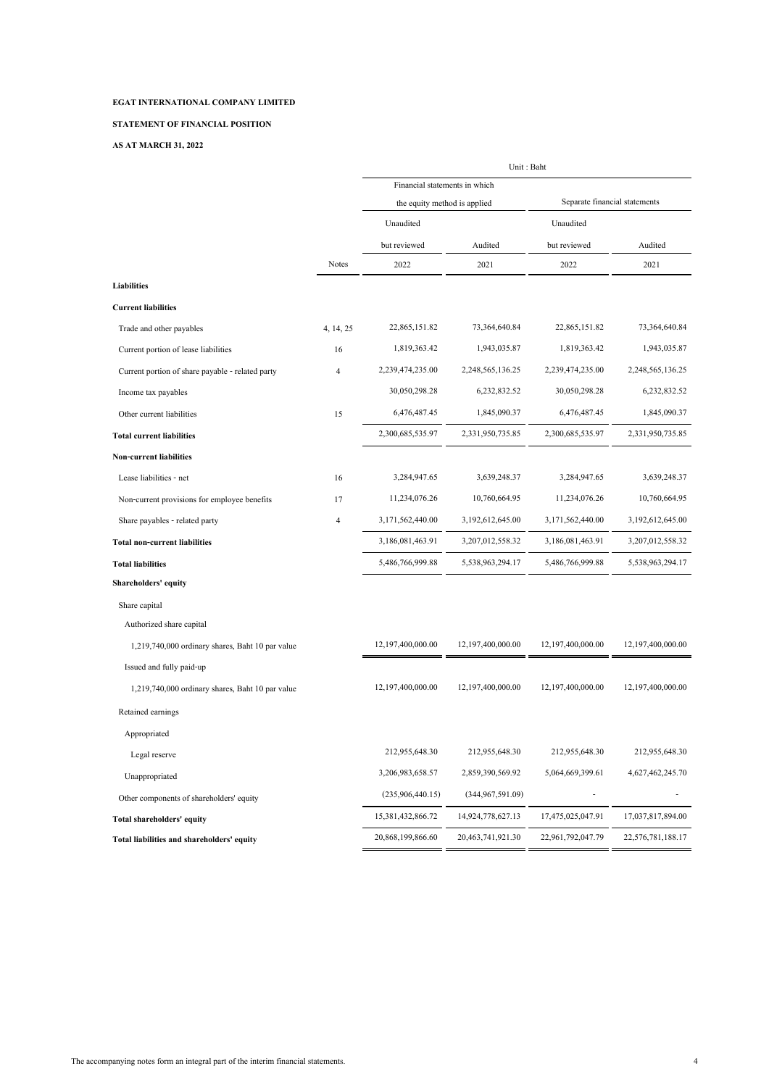### **STATEMENT OF FINANCIAL POSITION**

#### **AS AT MARCH 31, 2022**

|                                                  |                | Unit: Baht                    |                                                               |                   |                   |  |
|--------------------------------------------------|----------------|-------------------------------|---------------------------------------------------------------|-------------------|-------------------|--|
|                                                  |                | Financial statements in which |                                                               |                   |                   |  |
|                                                  |                |                               | Separate financial statements<br>the equity method is applied |                   |                   |  |
|                                                  |                | Unaudited                     |                                                               | Unaudited         |                   |  |
|                                                  |                | but reviewed                  | Audited                                                       | but reviewed      | Audited           |  |
|                                                  | <b>Notes</b>   | 2022                          | 2021                                                          | 2022              | 2021              |  |
| <b>Liabilities</b>                               |                |                               |                                                               |                   |                   |  |
| <b>Current liabilities</b>                       |                |                               |                                                               |                   |                   |  |
| Trade and other payables                         | 4, 14, 25      | 22,865,151.82                 | 73,364,640.84                                                 | 22,865,151.82     | 73, 364, 640. 84  |  |
| Current portion of lease liabilities             | 16             | 1,819,363.42                  | 1,943,035.87                                                  | 1,819,363.42      | 1,943,035.87      |  |
| Current portion of share payable - related party | $\overline{4}$ | 2,239,474,235.00              | 2,248,565,136.25                                              | 2,239,474,235.00  | 2,248,565,136.25  |  |
| Income tax payables                              |                | 30,050,298.28                 | 6,232,832.52                                                  | 30,050,298.28     | 6,232,832.52      |  |
| Other current liabilities                        | 15             | 6,476,487.45                  | 1,845,090.37                                                  | 6,476,487.45      | 1,845,090.37      |  |
| <b>Total current liabilities</b>                 |                | 2,300,685,535.97              | 2,331,950,735.85                                              | 2,300,685,535.97  | 2,331,950,735.85  |  |
| <b>Non-current liabilities</b>                   |                |                               |                                                               |                   |                   |  |
| Lease liabilities - net                          | 16             | 3,284,947.65                  | 3,639,248.37                                                  | 3,284,947.65      | 3,639,248.37      |  |
| Non-current provisions for employee benefits     | 17             | 11,234,076.26                 | 10,760,664.95                                                 | 11,234,076.26     | 10,760,664.95     |  |
| Share payables - related party                   | $\overline{4}$ | 3,171,562,440.00              | 3,192,612,645.00                                              | 3,171,562,440.00  | 3,192,612,645.00  |  |
| <b>Total non-current liabilities</b>             |                | 3,186,081,463.91              | 3,207,012,558.32                                              | 3,186,081,463.91  | 3,207,012,558.32  |  |
| <b>Total liabilities</b>                         |                | 5,486,766,999.88              | 5,538,963,294.17                                              | 5,486,766,999.88  | 5,538,963,294.17  |  |
| Shareholders' equity                             |                |                               |                                                               |                   |                   |  |
| Share capital                                    |                |                               |                                                               |                   |                   |  |
| Authorized share capital                         |                |                               |                                                               |                   |                   |  |
| 1,219,740,000 ordinary shares, Baht 10 par value |                | 12,197,400,000.00             | 12,197,400,000.00                                             | 12,197,400,000.00 | 12,197,400,000.00 |  |
| Issued and fully paid-up                         |                |                               |                                                               |                   |                   |  |
| 1,219,740,000 ordinary shares, Baht 10 par value |                | 12,197,400,000.00             | 12,197,400,000.00                                             | 12,197,400,000.00 | 12,197,400,000.00 |  |
| Retained earnings                                |                |                               |                                                               |                   |                   |  |
| Appropriated                                     |                |                               |                                                               |                   |                   |  |
| Legal reserve                                    |                | 212,955,648.30                | 212,955,648.30                                                | 212,955,648.30    | 212,955,648.30    |  |
| Unappropriated                                   |                | 3,206,983,658.57              | 2,859,390,569.92                                              | 5,064,669,399.61  | 4,627,462,245.70  |  |
| Other components of shareholders' equity         |                | (235,906,440.15)              | (344, 967, 591.09)                                            |                   |                   |  |
| Total shareholders' equity                       |                | 15,381,432,866.72             | 14,924,778,627.13                                             | 17,475,025,047.91 | 17,037,817,894.00 |  |
| Total liabilities and shareholders' equity       |                | 20,868,199,866.60             | 20,463,741,921.30                                             | 22,961,792,047.79 | 22,576,781,188.17 |  |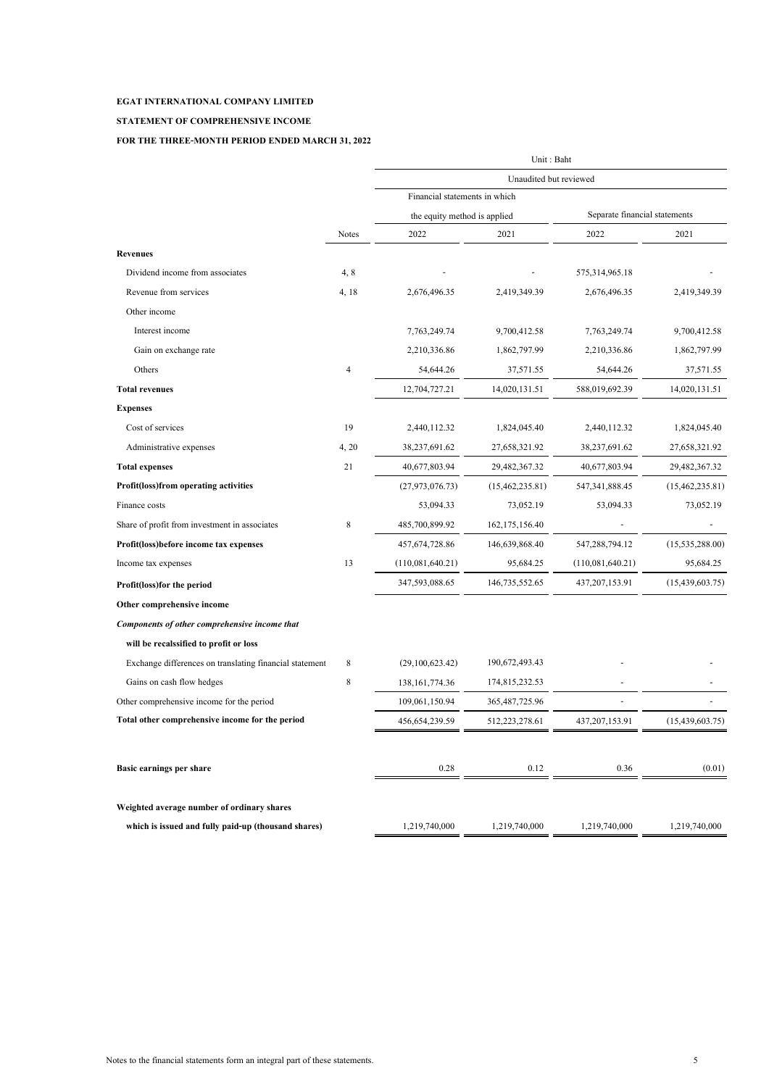### **STATEMENT OF COMPREHENSIVE INCOME**

|                                                         |                | Unit: Baht                    |                   |                               |                   |  |  |
|---------------------------------------------------------|----------------|-------------------------------|-------------------|-------------------------------|-------------------|--|--|
|                                                         |                | Unaudited but reviewed        |                   |                               |                   |  |  |
|                                                         |                | Financial statements in which |                   |                               |                   |  |  |
|                                                         |                | the equity method is applied  |                   | Separate financial statements |                   |  |  |
|                                                         | <b>Notes</b>   | 2022                          | 2021              | 2022                          | 2021              |  |  |
| <b>Revenues</b>                                         |                |                               |                   |                               |                   |  |  |
| Dividend income from associates                         | 4, 8           |                               |                   | 575,314,965.18                |                   |  |  |
| Revenue from services                                   | 4, 18          | 2,676,496.35                  | 2,419,349.39      | 2,676,496.35                  | 2,419,349.39      |  |  |
| Other income                                            |                |                               |                   |                               |                   |  |  |
| Interest income                                         |                | 7,763,249.74                  | 9,700,412.58      | 7,763,249.74                  | 9,700,412.58      |  |  |
| Gain on exchange rate                                   |                | 2,210,336.86                  | 1,862,797.99      | 2,210,336.86                  | 1,862,797.99      |  |  |
| Others                                                  | $\overline{4}$ | 54,644.26                     | 37,571.55         | 54,644.26                     | 37,571.55         |  |  |
| <b>Total revenues</b>                                   |                | 12,704,727.21                 | 14,020,131.51     | 588,019,692.39                | 14,020,131.51     |  |  |
| <b>Expenses</b>                                         |                |                               |                   |                               |                   |  |  |
| Cost of services                                        | 19             | 2,440,112.32                  | 1,824,045.40      | 2,440,112.32                  | 1,824,045.40      |  |  |
| Administrative expenses                                 | 4, 20          | 38,237,691.62                 | 27,658,321.92     | 38,237,691.62                 | 27,658,321.92     |  |  |
| <b>Total expenses</b>                                   | 21             | 40,677,803.94                 | 29,482,367.32     | 40,677,803.94                 | 29,482,367.32     |  |  |
| Profit(loss)from operating activities                   |                | (27,973,076.73)               | (15,462,235.81)   | 547,341,888.45                | (15, 462, 235.81) |  |  |
| Finance costs                                           |                | 53,094.33                     | 73,052.19         | 53,094.33                     | 73,052.19         |  |  |
| Share of profit from investment in associates           | 8              | 485,700,899.92                | 162, 175, 156. 40 |                               |                   |  |  |
| Profit(loss)before income tax expenses                  |                | 457,674,728.86                | 146,639,868.40    | 547,288,794.12                | (15, 535, 288.00) |  |  |
| Income tax expenses                                     | 13             | (110,081,640.21)              | 95,684.25         | (110,081,640.21)              | 95,684.25         |  |  |
| Profit(loss) for the period                             |                | 347,593,088.65                | 146,735,552.65    | 437,207,153.91                | (15, 439, 603.75) |  |  |
| Other comprehensive income                              |                |                               |                   |                               |                   |  |  |
| Components of other comprehensive income that           |                |                               |                   |                               |                   |  |  |
| will be recalssified to profit or loss                  |                |                               |                   |                               |                   |  |  |
| Exchange differences on translating financial statement | 8              | (29,100,623.42)               | 190,672,493.43    |                               |                   |  |  |
| Gains on cash flow hedges                               | 8              | 138, 161, 774. 36             | 174,815,232.53    |                               |                   |  |  |
| Other comprehensive income for the period               |                | 109,061,150.94                | 365, 487, 725. 96 |                               |                   |  |  |
| Total other comprehensive income for the period         |                | 456,654,239.59                | 512,223,278.61    | 437,207,153.91                | (15, 439, 603.75) |  |  |
| Basic earnings per share                                |                | 0.28                          | 0.12              | 0.36                          | (0.01)            |  |  |
| Weighted average number of ordinary shares              |                |                               |                   |                               |                   |  |  |
| which is issued and fully paid-up (thousand shares)     |                | 1,219,740,000                 | 1,219,740,000     | 1,219,740,000                 | 1,219,740,000     |  |  |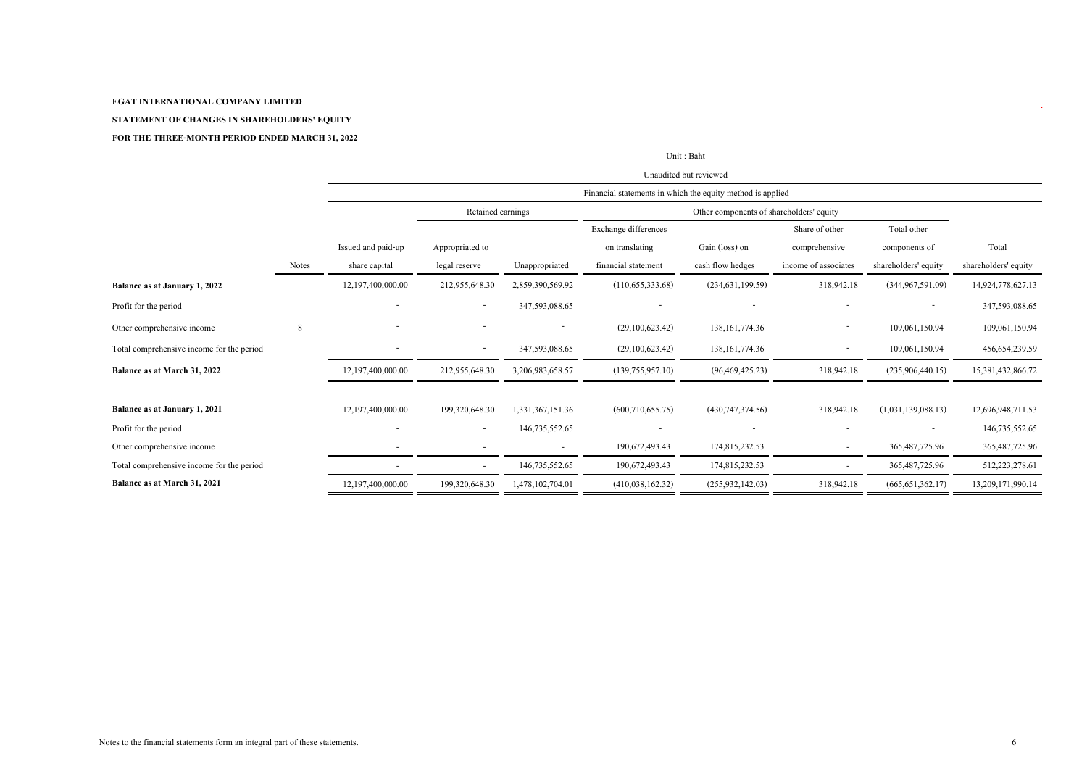#### **STATEMENT OF CHANGES IN SHAREHOLDERS' EQUITY**

|                                           |              |                    | Unit: Baht                                                 |                          |                      |                                          |                      |                      |                      |
|-------------------------------------------|--------------|--------------------|------------------------------------------------------------|--------------------------|----------------------|------------------------------------------|----------------------|----------------------|----------------------|
|                                           |              |                    | Unaudited but reviewed                                     |                          |                      |                                          |                      |                      |                      |
|                                           |              |                    | Financial statements in which the equity method is applied |                          |                      |                                          |                      |                      |                      |
|                                           |              |                    | Retained earnings                                          |                          |                      | Other components of shareholders' equity |                      |                      |                      |
|                                           |              |                    |                                                            |                          | Exchange differences |                                          | Share of other       | Total other          |                      |
|                                           |              | Issued and paid-up | Appropriated to                                            |                          | on translating       | Gain (loss) on                           | comprehensive        | components of        | Total                |
|                                           | <b>Notes</b> | share capital      | legal reserve                                              | Unappropriated           | financial statement  | cash flow hedges                         | income of associates | shareholders' equity | shareholders' equity |
| Balance as at January 1, 2022             |              | 12,197,400,000.00  | 212,955,648.30                                             | 2,859,390,569.92         | (110,655,333.68)     | (234, 631, 199, 59)                      | 318,942.18           | (344.967.591.09)     | 14,924,778,627.13    |
| Profit for the period                     |              |                    |                                                            | 347,593,088.65           |                      |                                          |                      | ٠                    | 347,593,088.65       |
| Other comprehensive income                | 8            |                    |                                                            |                          | (29,100,623.42)      | 138, 161, 774. 36                        |                      | 109,061,150.94       | 109,061,150.94       |
| Total comprehensive income for the period |              |                    |                                                            | 347,593,088.65           | (29,100,623.42)      | 138, 161, 774. 36                        |                      | 109,061,150.94       | 456, 654, 239.59     |
| Balance as at March 31, 2022              |              | 12,197,400,000.00  | 212,955,648.30                                             | 3,206,983,658.57         | (139,755,957.10)     | (96, 469, 425.23)                        | 318,942.18           | (235,906,440.15)     | 15,381,432,866.72    |
|                                           |              |                    |                                                            |                          |                      |                                          |                      |                      |                      |
| Balance as at January 1, 2021             |              | 12,197,400,000.00  | 199,320,648.30                                             | 1,331,367,151.36         | (600, 710, 655.75)   | (430,747,374.56)                         | 318,942.18           | (1,031,139,088.13)   | 12,696,948,711.53    |
| Profit for the period                     |              |                    |                                                            | 146,735,552.65           |                      |                                          |                      |                      | 146,735,552.65       |
| Other comprehensive income                |              |                    |                                                            | $\overline{\phantom{a}}$ | 190,672,493.43       | 174,815,232.53                           |                      | 365, 487, 725. 96    | 365, 487, 725. 96    |
| Total comprehensive income for the period |              |                    | $\sim$                                                     | 146,735,552.65           | 190,672,493.43       | 174,815,232.53                           |                      | 365, 487, 725. 96    | 512,223,278.61       |
| Balance as at March 31, 2021              |              | 12,197,400,000.00  | 199,320,648.30                                             | 1,478,102,704.01         | (410,038,162.32)     | (255, 932, 142.03)                       | 318,942.18           | (665, 651, 362.17)   | 13,209,171,990.14    |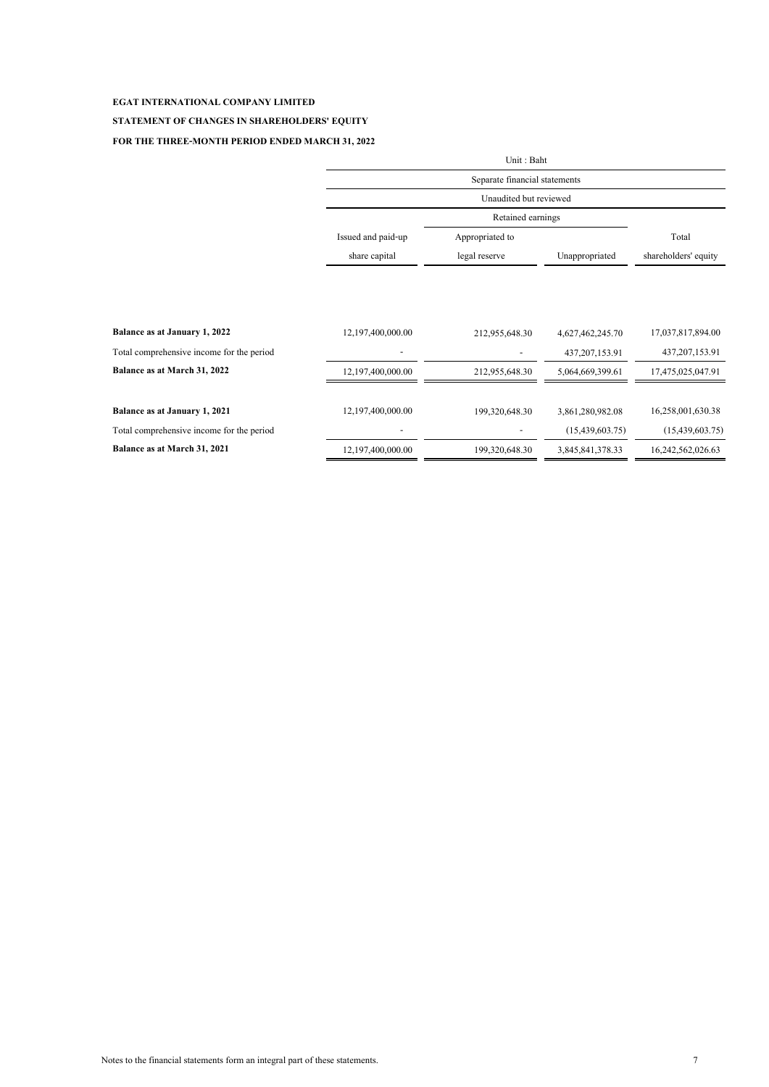### **STATEMENT OF CHANGES IN SHAREHOLDERS' EQUITY**

|                                           | Unit: Baht         |                                                         |                   |                      |  |  |  |  |
|-------------------------------------------|--------------------|---------------------------------------------------------|-------------------|----------------------|--|--|--|--|
|                                           |                    | Separate financial statements<br>Unaudited but reviewed |                   |                      |  |  |  |  |
|                                           |                    |                                                         |                   |                      |  |  |  |  |
|                                           |                    | Retained earnings                                       |                   |                      |  |  |  |  |
|                                           | Issued and paid-up | Appropriated to                                         |                   | Total                |  |  |  |  |
|                                           | share capital      | legal reserve                                           | Unappropriated    | shareholders' equity |  |  |  |  |
|                                           |                    |                                                         |                   |                      |  |  |  |  |
|                                           |                    |                                                         |                   |                      |  |  |  |  |
| Balance as at January 1, 2022             | 12,197,400,000.00  | 212,955,648.30                                          | 4,627,462,245.70  | 17,037,817,894.00    |  |  |  |  |
| Total comprehensive income for the period |                    |                                                         | 437, 207, 153. 91 | 437, 207, 153. 91    |  |  |  |  |
| Balance as at March 31, 2022              | 12,197,400,000.00  | 212,955,648.30                                          | 5,064,669,399.61  | 17,475,025,047.91    |  |  |  |  |
| Balance as at January 1, 2021             | 12,197,400,000.00  | 199,320,648.30                                          | 3,861,280,982.08  | 16,258,001,630.38    |  |  |  |  |
|                                           |                    |                                                         |                   |                      |  |  |  |  |
| Total comprehensive income for the period |                    |                                                         | (15, 439, 603.75) | (15, 439, 603.75)    |  |  |  |  |
| Balance as at March 31, 2021              | 12,197,400,000.00  | 199,320,648.30                                          | 3,845,841,378.33  | 16,242,562,026.63    |  |  |  |  |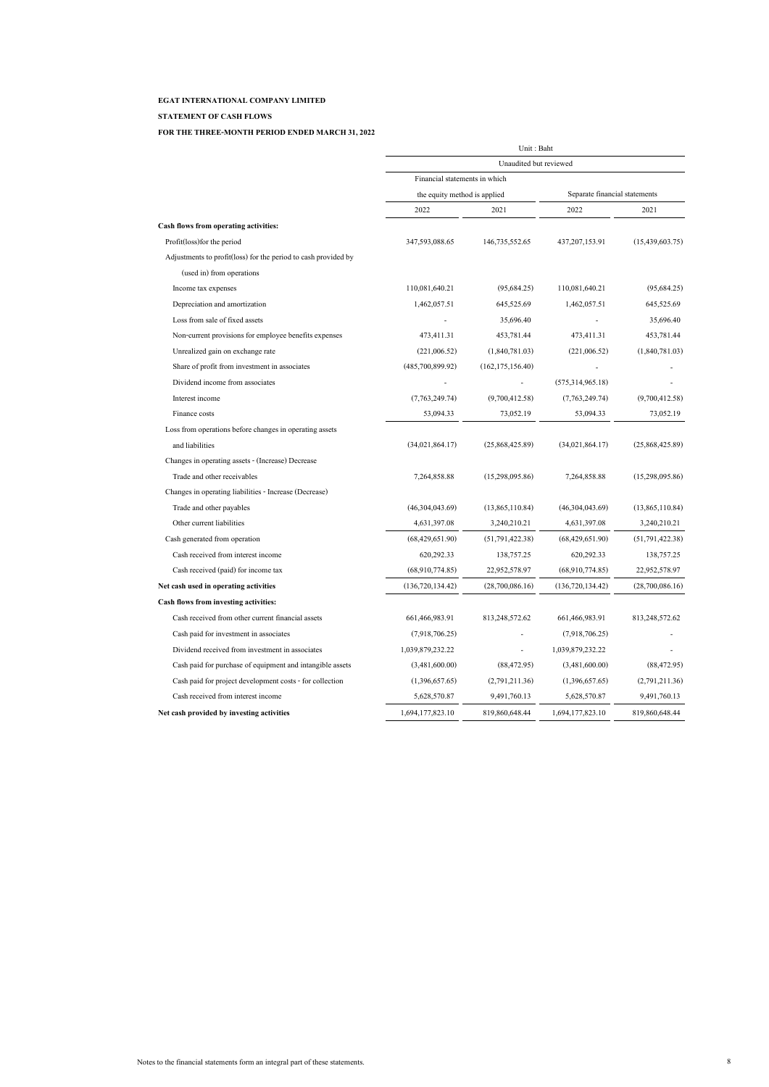#### **STATEMENT OF CASH FLOWS**

|                                                                | Unit: Baht<br>Unaudited but reviewed |                    |                               |                   |  |
|----------------------------------------------------------------|--------------------------------------|--------------------|-------------------------------|-------------------|--|
|                                                                |                                      |                    |                               |                   |  |
|                                                                | Financial statements in which        |                    |                               |                   |  |
|                                                                | the equity method is applied         |                    | Separate financial statements |                   |  |
|                                                                | 2022                                 | 2021               | 2022                          | 2021              |  |
| Cash flows from operating activities:                          |                                      |                    |                               |                   |  |
| Profit(loss) for the period                                    | 347,593,088.65                       | 146,735,552.65     | 437,207,153.91                | (15,439,603.75)   |  |
| Adjustments to profit(loss) for the period to cash provided by |                                      |                    |                               |                   |  |
| (used in) from operations                                      |                                      |                    |                               |                   |  |
| Income tax expenses                                            | 110,081,640.21                       | (95,684,25)        | 110,081,640.21                | (95,684.25)       |  |
| Depreciation and amortization                                  | 1,462,057.51                         | 645,525.69         | 1,462,057.51                  | 645,525.69        |  |
| Loss from sale of fixed assets                                 | $\overline{a}$                       | 35,696.40          |                               | 35,696.40         |  |
| Non-current provisions for employee benefits expenses          | 473,411.31                           | 453,781.44         | 473,411.31                    | 453,781.44        |  |
| Unrealized gain on exchange rate                               | (221,006.52)                         | (1,840,781.03)     | (221,006.52)                  | (1,840,781.03)    |  |
| Share of profit from investment in associates                  | (485,700,899.92)                     | (162, 175, 156.40) |                               |                   |  |
| Dividend income from associates                                |                                      |                    | (575, 314, 965.18)            |                   |  |
| Interest income                                                | (7,763,249.74)                       | (9,700,412.58)     | (7,763,249.74)                | (9,700,412.58)    |  |
| Finance costs                                                  | 53,094.33                            | 73,052.19          | 53,094.33                     | 73,052.19         |  |
| Loss from operations before changes in operating assets        |                                      |                    |                               |                   |  |
| and liabilities                                                | (34,021,864.17)                      | (25,868,425.89)    | (34,021,864,17)               | (25,868,425.89)   |  |
| Changes in operating assets - (Increase) Decrease              |                                      |                    |                               |                   |  |
| Trade and other receivables                                    | 7,264,858.88                         | (15,298,095.86)    | 7,264,858.88                  | (15,298,095.86)   |  |
| Changes in operating liabilities - Increase (Decrease)         |                                      |                    |                               |                   |  |
| Trade and other payables                                       | (46,304,043.69)                      | (13,865,110.84)    | (46,304,043.69)               | (13,865,110.84)   |  |
| Other current liabilities                                      | 4,631,397.08                         | 3,240,210.21       | 4,631,397.08                  | 3,240,210.21      |  |
| Cash generated from operation                                  | (68,429,651.90)                      | (51,791,422.38)    | (68,429,651.90)               | (51, 791, 422.38) |  |
| Cash received from interest income                             | 620,292.33                           | 138,757.25         | 620,292.33                    | 138,757.25        |  |
| Cash received (paid) for income tax                            | (68,910,774.85)                      | 22,952,578.97      | (68,910,774.85)               | 22,952,578.97     |  |
| Net cash used in operating activities                          | (136, 720, 134, 42)                  | (28,700,086,16)    | (136, 720, 134, 42)           | (28,700,086,16)   |  |
| Cash flows from investing activities:                          |                                      |                    |                               |                   |  |
| Cash received from other current financial assets              | 661,466,983.91                       | 813,248,572.62     | 661,466,983.91                | 813,248,572.62    |  |
| Cash paid for investment in associates                         | (7,918,706.25)                       |                    | (7,918,706.25)                |                   |  |
| Dividend received from investment in associates                | 1,039,879,232.22                     |                    | 1,039,879,232.22              |                   |  |
| Cash paid for purchase of equipment and intangible assets      | (3,481,600.00)                       | (88, 472.95)       | (3,481,600.00)                | (88, 472.95)      |  |
| Cash paid for project development costs - for collection       | (1,396,657.65)                       | (2,791,211.36)     | (1,396,657.65)                | (2,791,211.36)    |  |
| Cash received from interest income                             | 5,628,570.87                         | 9,491,760.13       | 5,628,570.87                  | 9,491,760.13      |  |
| Net cash provided by investing activities                      | 1,694,177,823.10                     | 819,860,648.44     | 1,694,177,823.10              | 819,860,648.44    |  |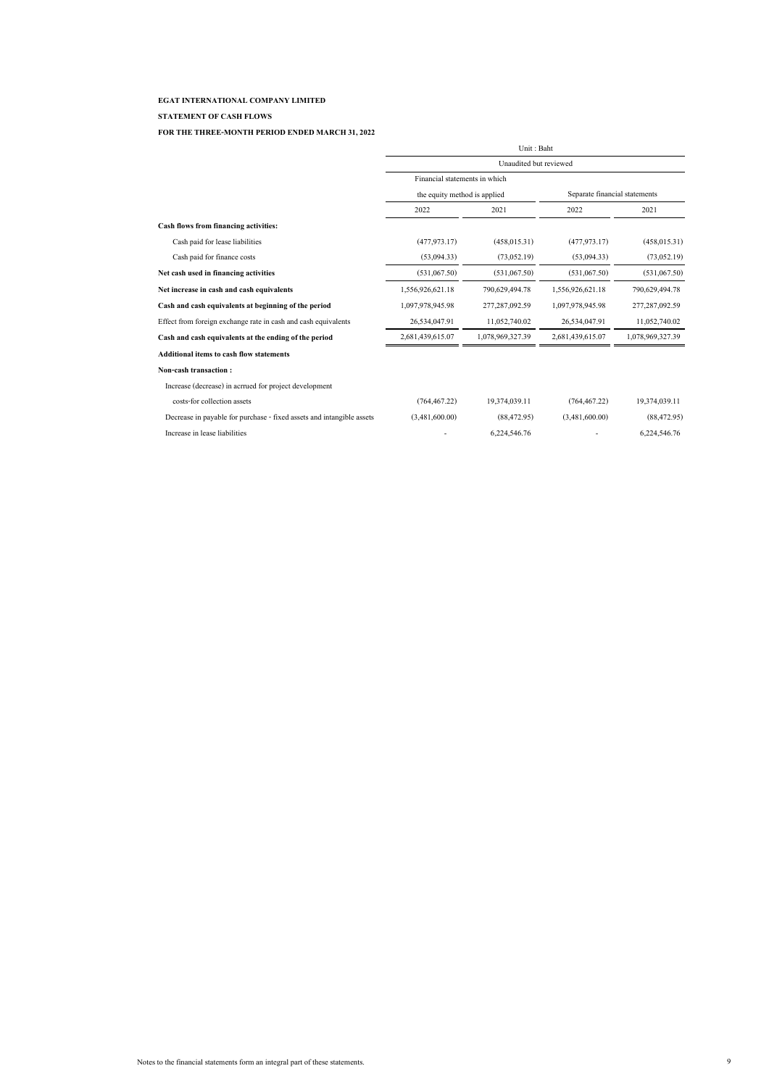#### **STATEMENT OF CASH FLOWS**

|                                                                       | Unit: Baht                                              |                  |                               |                  |  |
|-----------------------------------------------------------------------|---------------------------------------------------------|------------------|-------------------------------|------------------|--|
|                                                                       | Unaudited but reviewed<br>Financial statements in which |                  |                               |                  |  |
|                                                                       |                                                         |                  |                               |                  |  |
|                                                                       | the equity method is applied                            |                  | Separate financial statements |                  |  |
|                                                                       | 2022                                                    | 2021             | 2022                          | 2021             |  |
| Cash flows from financing activities:                                 |                                                         |                  |                               |                  |  |
| Cash paid for lease liabilities                                       | (477, 973, 17)                                          | (458, 015.31)    | (477, 973, 17)                | (458, 015.31)    |  |
| Cash paid for finance costs                                           | (53,094,33)                                             | (73,052,19)      | (53,094.33)                   | (73,052,19)      |  |
| Net cash used in financing activities                                 | (531,067.50)                                            | (531,067.50)     | (531,067.50)                  | (531,067.50)     |  |
| Net increase in cash and cash equivalents                             | 1,556,926,621.18                                        | 790,629,494.78   | 1,556,926,621.18              | 790,629,494.78   |  |
| Cash and cash equivalents at beginning of the period                  | 1,097,978,945.98                                        | 277,287,092.59   | 1,097,978,945.98              | 277,287,092.59   |  |
| Effect from foreign exchange rate in cash and cash equivalents        | 26,534,047.91                                           | 11,052,740.02    | 26,534,047.91                 | 11,052,740.02    |  |
| Cash and cash equivalents at the ending of the period                 | 2,681,439,615.07                                        | 1,078,969,327.39 | 2,681,439,615.07              | 1,078,969,327.39 |  |
| <b>Additional items to cash flow statements</b>                       |                                                         |                  |                               |                  |  |
| Non-cash transaction:                                                 |                                                         |                  |                               |                  |  |
| Increase (decrease) in acrrued for project development                |                                                         |                  |                               |                  |  |
| costs-for collection assets                                           | (764, 467.22)                                           | 19.374.039.11    | (764, 467.22)                 | 19,374,039.11    |  |
| Decrease in payable for purchase - fixed assets and intangible assets | (3,481,600.00)                                          | (88, 472.95)     | (3,481,600.00)                | (88, 472, 95)    |  |
| Increase in lease liabilities                                         |                                                         | 6,224,546.76     |                               | 6,224,546.76     |  |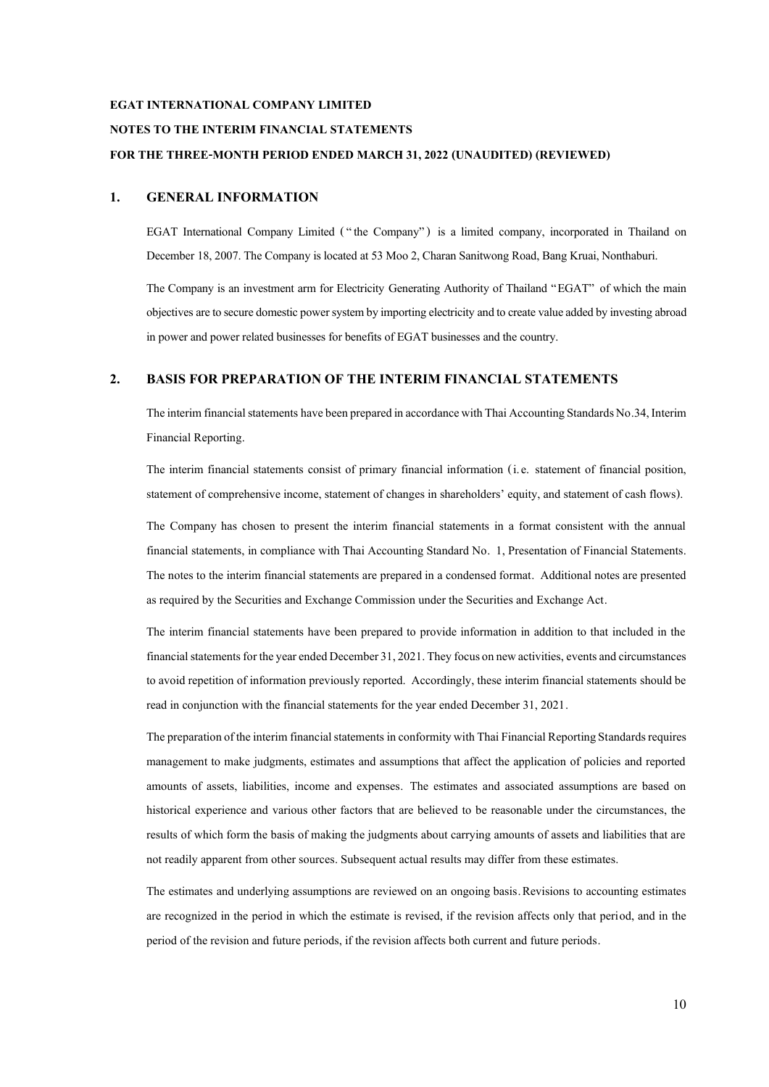#### **NOTES TO THE INTERIM FINANCIAL STATEMENTS**

#### **FOR THE THREE-MONTH PERIOD ENDED MARCH 31, 2022 (UNAUDITED) (REVIEWED)**

#### **1. GENERAL INFORMATION**

EGAT International Company Limited ("the Company") is a limited company, incorporated in Thailand on December 18,2007. The Company is located at 53 Moo 2, Charan Sanitwong Road, Bang Kruai, Nonthaburi.

The Company is an investment arm for Electricity Generating Authority of Thailand "EGAT" of which the main objectives are to secure domestic power system by importing electricity and to create value added by investing abroad in power and power related businesses for benefits of EGAT businesses and the country.

#### **2. BASIS FOR PREPARATION OF THE INTERIM FINANCIAL STATEMENTS**

The interim financial statements have been prepared in accordance with Thai Accounting Standards No.34, Interim Financial Reporting.

The interim financial statements consist of primary financial information (i.e. statement of financial position, statement of comprehensive income, statement of changes in shareholders' equity, and statement of cash flows).

The Company has chosen to present the interim financial statements in a format consistent with the annual financial statements, in compliance with Thai Accounting Standard No. 1, Presentation of Financial Statements. The notes to the interim financial statements are prepared in a condensed format. Additional notes are presented as required by the Securities and Exchange Commission under the Securities and Exchange Act.

The interim financial statements have been prepared to provide information in addition to that included in the financial statements for the year ended December 31, 2021. They focus on new activities, events and circumstances to avoid repetition of information previously reported. Accordingly, these interim financial statements should be read in conjunction with the financial statements for the year ended December 31, 2021.

The preparation of the interim financial statements in conformity with Thai Financial Reporting Standards requires management to make judgments, estimates and assumptions that affect the application of policies and reported amounts of assets, liabilities, income and expenses. The estimates and associated assumptions are based on historical experience and various other factors that are believed to be reasonable under the circumstances, the results of which form the basis of making the judgments about carrying amounts of assets and liabilities that are not readily apparent from other sources. Subsequent actual results may differ from these estimates.

The estimates and underlying assumptions are reviewed on an ongoing basis.Revisions to accounting estimates are recognized in the period in which the estimate is revised, if the revision affects only that period, and in the period of the revision and future periods, if the revision affects both current and future periods.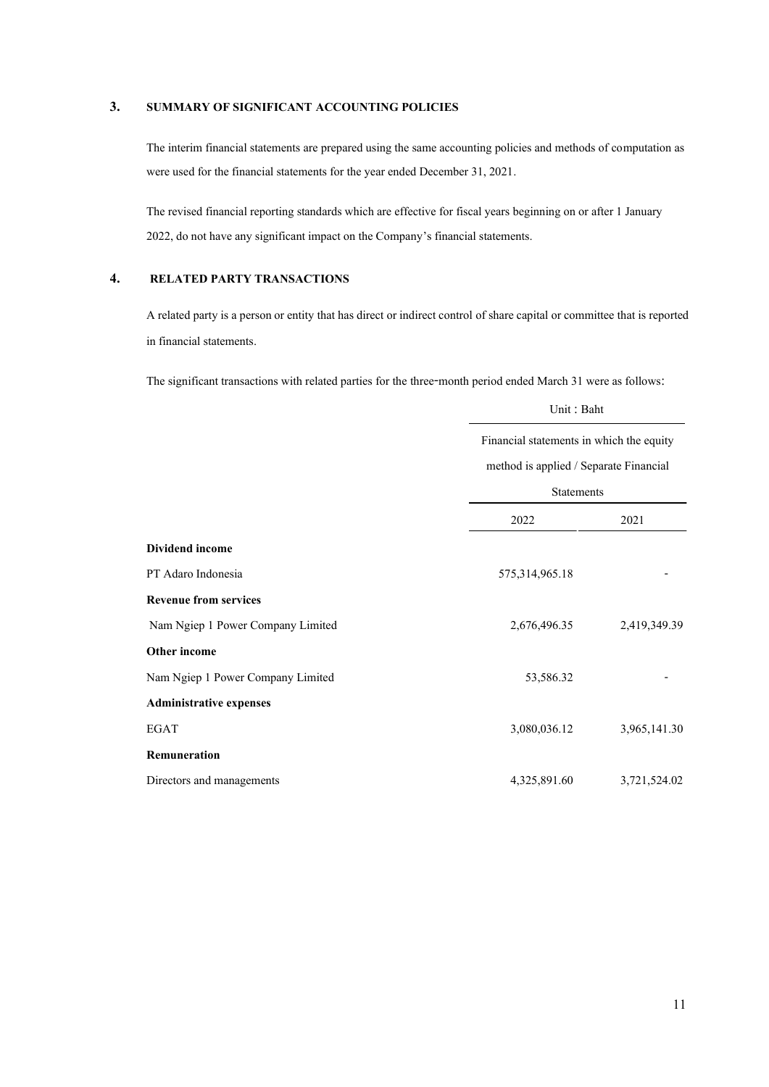### **3. SUMMARY OF SIGNIFICANT ACCOUNTING POLICIES**

The interim financial statements are prepared using the same accounting policies and methods of computation as were used for the financial statements for the year ended December 31, 2021.

The revised financial reporting standards which are effective for fiscal years beginning on or after 1 January 2022, do not have any significant impact on the Company's financial statements.

### **4. RELATED PARTY TRANSACTIONS**

A related party is a person or entity that has direct or indirect control of share capital or committee that is reported in financial statements.

The significant transactions with related parties for the three-month period ended March 31 were as follows:

|                                   | Unit: Baht                               |              |  |  |
|-----------------------------------|------------------------------------------|--------------|--|--|
|                                   | Financial statements in which the equity |              |  |  |
|                                   | method is applied / Separate Financial   |              |  |  |
|                                   | <b>Statements</b>                        |              |  |  |
|                                   | 2022<br>2021                             |              |  |  |
| Dividend income                   |                                          |              |  |  |
| PT Adaro Indonesia                | 575,314,965.18                           |              |  |  |
| <b>Revenue from services</b>      |                                          |              |  |  |
| Nam Ngiep 1 Power Company Limited | 2,676,496.35                             | 2,419,349.39 |  |  |
| Other income                      |                                          |              |  |  |
| Nam Ngiep 1 Power Company Limited | 53,586.32                                |              |  |  |
| <b>Administrative expenses</b>    |                                          |              |  |  |
| <b>EGAT</b>                       | 3,080,036.12                             | 3,965,141.30 |  |  |
| Remuneration                      |                                          |              |  |  |
| Directors and managements         | 4,325,891.60                             | 3,721,524.02 |  |  |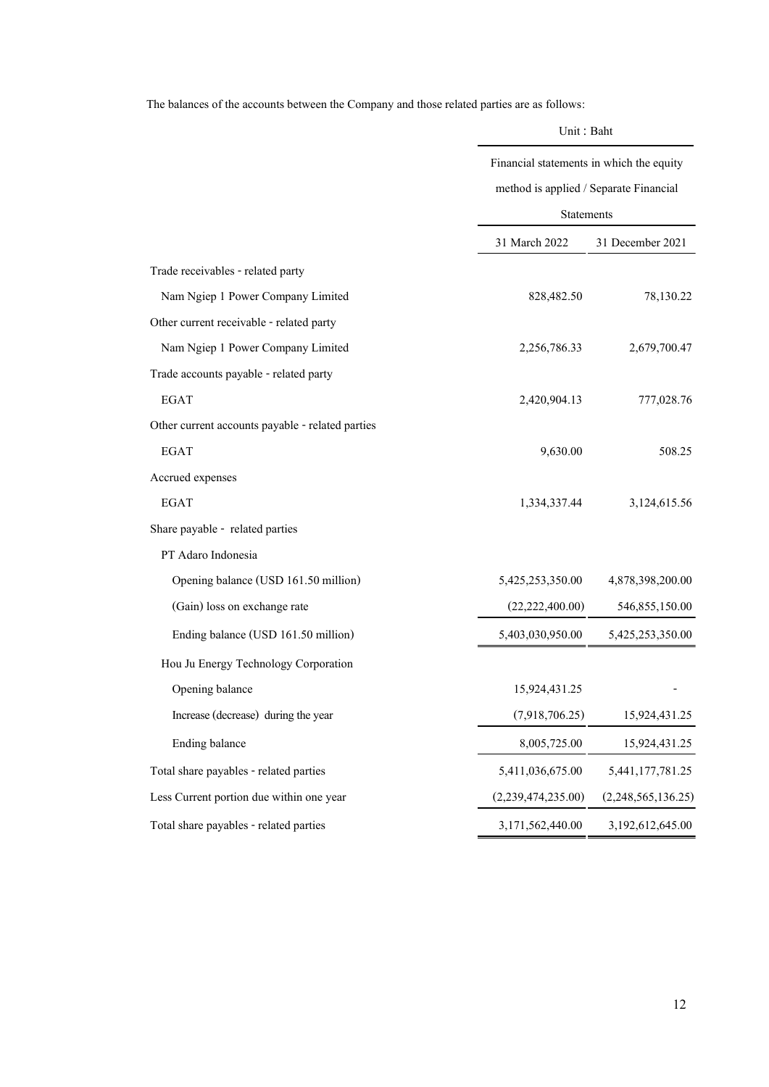The balances of the accounts between the Company and those related parties are as follows:

|                                                  |                                          | Unit: Baht         |  |  |
|--------------------------------------------------|------------------------------------------|--------------------|--|--|
|                                                  | Financial statements in which the equity |                    |  |  |
|                                                  | method is applied / Separate Financial   |                    |  |  |
|                                                  | Statements                               |                    |  |  |
|                                                  | 31 March 2022                            | 31 December 2021   |  |  |
| Trade receivables - related party                |                                          |                    |  |  |
| Nam Ngiep 1 Power Company Limited                | 828,482.50                               | 78,130.22          |  |  |
| Other current receivable - related party         |                                          |                    |  |  |
| Nam Ngiep 1 Power Company Limited                | 2,256,786.33                             | 2,679,700.47       |  |  |
| Trade accounts payable - related party           |                                          |                    |  |  |
| <b>EGAT</b>                                      | 2,420,904.13                             | 777,028.76         |  |  |
| Other current accounts payable - related parties |                                          |                    |  |  |
| <b>EGAT</b>                                      | 9,630.00                                 | 508.25             |  |  |
| Accrued expenses                                 |                                          |                    |  |  |
| <b>EGAT</b>                                      | 1,334,337.44                             | 3,124,615.56       |  |  |
| Share payable - related parties                  |                                          |                    |  |  |
| PT Adaro Indonesia                               |                                          |                    |  |  |
| Opening balance (USD 161.50 million)             | 5,425,253,350.00                         | 4,878,398,200.00   |  |  |
| (Gain) loss on exchange rate                     | (22, 222, 400.00)                        | 546,855,150.00     |  |  |
| Ending balance (USD 161.50 million)              | 5,403,030,950.00                         | 5,425,253,350.00   |  |  |
| Hou Ju Energy Technology Corporation             |                                          |                    |  |  |
| Opening balance                                  | 15,924,431.25                            |                    |  |  |
| Increase (decrease) during the year              | (7,918,706.25)                           | 15,924,431.25      |  |  |
| Ending balance                                   | 8,005,725.00                             | 15,924,431.25      |  |  |
| Total share payables - related parties           | 5,411,036,675.00                         | 5,441,177,781.25   |  |  |
| Less Current portion due within one year         | (2,239,474,235.00)                       | (2,248,565,136.25) |  |  |
| Total share payables - related parties           | 3,171,562,440.00                         | 3,192,612,645.00   |  |  |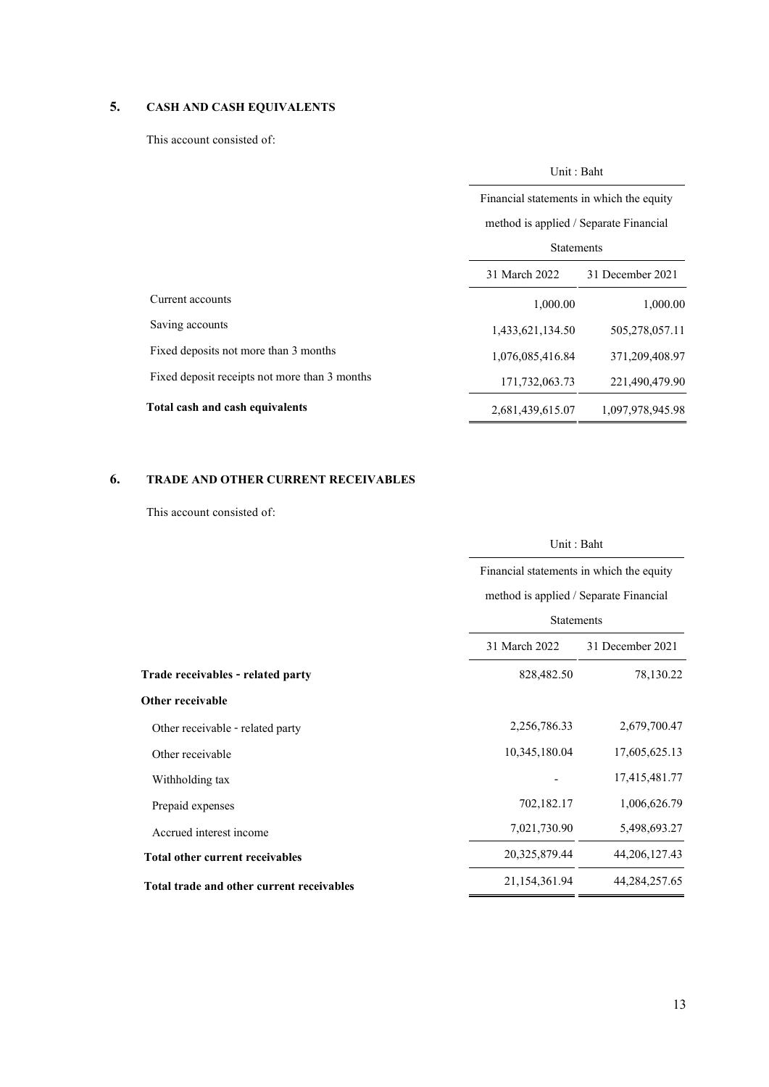# **5. CASH AND CASH EQUIVALENTS**

This account consisted of:

|                                               | Unit: Baht                                                                         |                  |  |  |
|-----------------------------------------------|------------------------------------------------------------------------------------|------------------|--|--|
|                                               | Financial statements in which the equity<br>method is applied / Separate Financial |                  |  |  |
|                                               |                                                                                    |                  |  |  |
|                                               | <b>Statements</b>                                                                  |                  |  |  |
|                                               | 31 March 2022                                                                      | 31 December 2021 |  |  |
| Current accounts                              | 1,000.00                                                                           | 1,000.00         |  |  |
| Saving accounts                               | 1,433,621,134.50                                                                   | 505,278,057.11   |  |  |
| Fixed deposits not more than 3 months         | 1,076,085,416.84                                                                   | 371,209,408.97   |  |  |
| Fixed deposit receipts not more than 3 months | 171,732,063.73                                                                     | 221,490,479.90   |  |  |
| Total cash and cash equivalents               | 2,681,439,615.07                                                                   | 1,097,978,945.98 |  |  |

# **6. TRADE AND OTHER CURRENT RECEIVABLES**

This account consisted of:

|                                           | Unit: Baht<br>Financial statements in which the equity<br>method is applied / Separate Financial |                  |  |  |
|-------------------------------------------|--------------------------------------------------------------------------------------------------|------------------|--|--|
|                                           |                                                                                                  |                  |  |  |
|                                           |                                                                                                  |                  |  |  |
|                                           | <b>Statements</b>                                                                                |                  |  |  |
|                                           | 31 March 2022                                                                                    | 31 December 2021 |  |  |
| Trade receivables - related party         | 828,482.50                                                                                       | 78,130.22        |  |  |
| Other receivable                          |                                                                                                  |                  |  |  |
| Other receivable - related party          | 2,256,786.33                                                                                     | 2,679,700.47     |  |  |
| Other receivable                          | 10,345,180.04                                                                                    | 17,605,625.13    |  |  |
| Withholding tax                           |                                                                                                  | 17,415,481.77    |  |  |
| Prepaid expenses                          | 702,182.17                                                                                       | 1,006,626.79     |  |  |
| Accrued interest income                   | 7,021,730.90                                                                                     | 5,498,693.27     |  |  |
| Total other current receivables           | 20,325,879.44                                                                                    | 44, 206, 127. 43 |  |  |
| Total trade and other current receivables | 21,154,361.94                                                                                    | 44, 284, 257. 65 |  |  |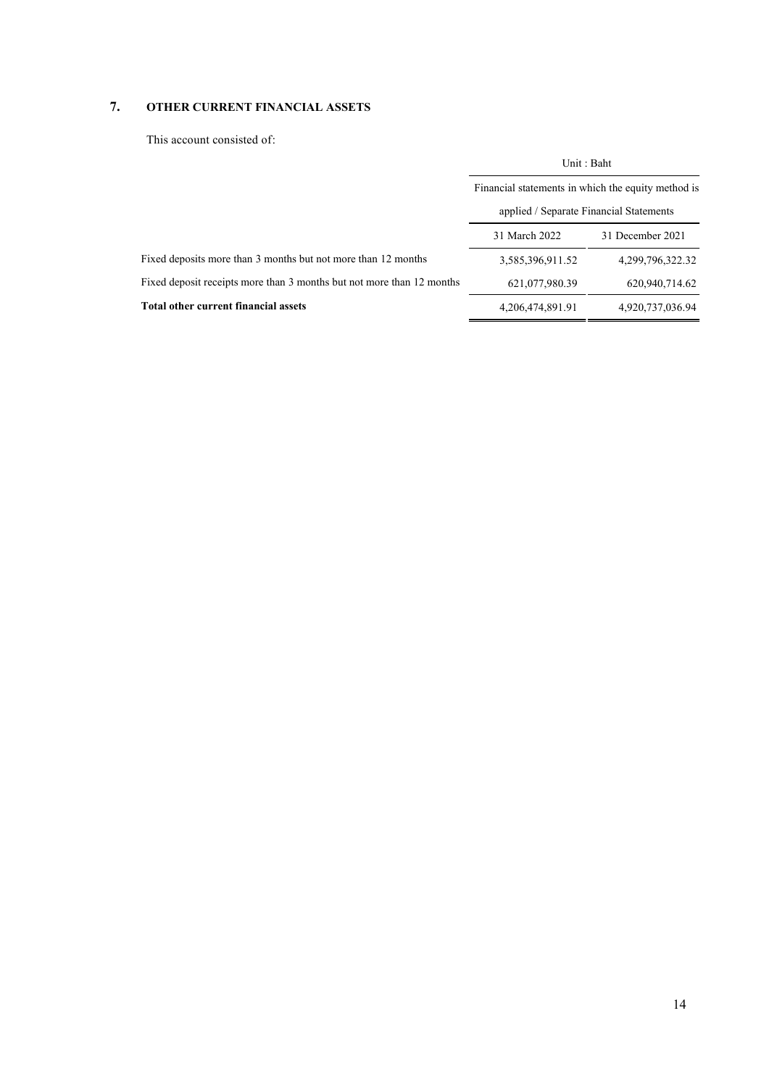## **7. OTHER CURRENT FINANCIAL ASSETS**

This account consisted of:

|                                                                       | Unit: Baht                                         |                  |  |  |
|-----------------------------------------------------------------------|----------------------------------------------------|------------------|--|--|
|                                                                       | Financial statements in which the equity method is |                  |  |  |
|                                                                       | applied / Separate Financial Statements            |                  |  |  |
|                                                                       | 31 March 2022                                      | 31 December 2021 |  |  |
| Fixed deposits more than 3 months but not more than 12 months         | 3,585,396,911.52                                   | 4,299,796,322,32 |  |  |
| Fixed deposit receipts more than 3 months but not more than 12 months | 621,077,980.39                                     | 620,940,714.62   |  |  |
| Total other current financial assets                                  | 4, 206, 474, 891. 91                               | 4,920,737,036.94 |  |  |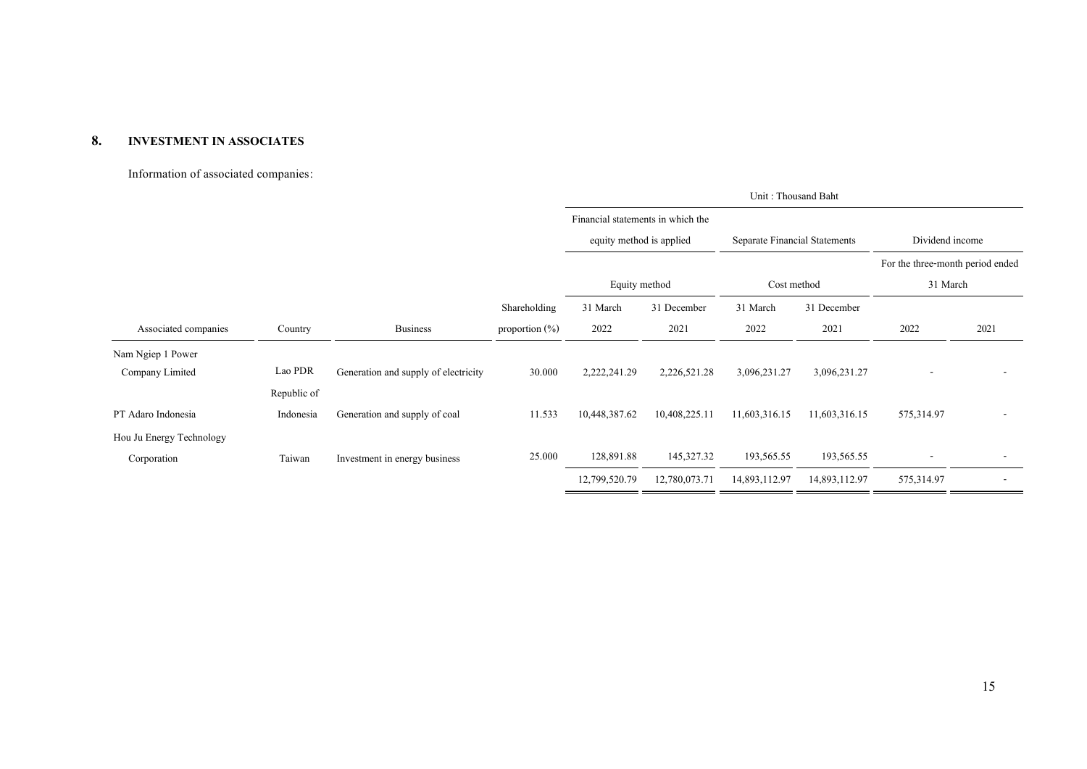### **8. INVESTMENT IN ASSOCIATES**

### Information of associated companies:

|                          |             |                                      |                   | Unit: Thousand Baht               |               |                               |               |                                  |        |
|--------------------------|-------------|--------------------------------------|-------------------|-----------------------------------|---------------|-------------------------------|---------------|----------------------------------|--------|
|                          |             |                                      |                   | Financial statements in which the |               |                               |               |                                  |        |
|                          |             |                                      |                   | equity method is applied          |               | Separate Financial Statements |               | Dividend income                  |        |
|                          |             |                                      |                   |                                   |               |                               |               | For the three-month period ended |        |
|                          |             |                                      |                   | Equity method                     |               | Cost method                   |               | 31 March                         |        |
|                          |             |                                      | Shareholding      | 31 March                          | 31 December   | 31 March                      | 31 December   |                                  |        |
| Associated companies     | Country     | <b>Business</b>                      | proportion $(\%)$ | 2022                              | 2021          | 2022                          | 2021          | 2022                             | 2021   |
| Nam Ngiep 1 Power        |             |                                      |                   |                                   |               |                               |               |                                  |        |
| Company Limited          | Lao PDR     | Generation and supply of electricity | 30.000            | 2,222,241.29                      | 2,226,521.28  | 3,096,231.27                  | 3,096,231.27  |                                  |        |
|                          | Republic of |                                      |                   |                                   |               |                               |               |                                  |        |
| PT Adaro Indonesia       | Indonesia   | Generation and supply of coal        | 11.533            | 10,448,387.62                     | 10,408,225.11 | 11,603,316.15                 | 11,603,316.15 | 575,314.97                       |        |
| Hou Ju Energy Technology |             |                                      |                   |                                   |               |                               |               |                                  |        |
| Corporation              | Taiwan      | Investment in energy business        | 25.000            | 128,891.88                        | 145,327.32    | 193,565.55                    | 193,565.55    |                                  |        |
|                          |             |                                      |                   | 12,799,520.79                     | 12,780,073.71 | 14,893,112.97                 | 14,893,112.97 | 575,314.97                       | $\sim$ |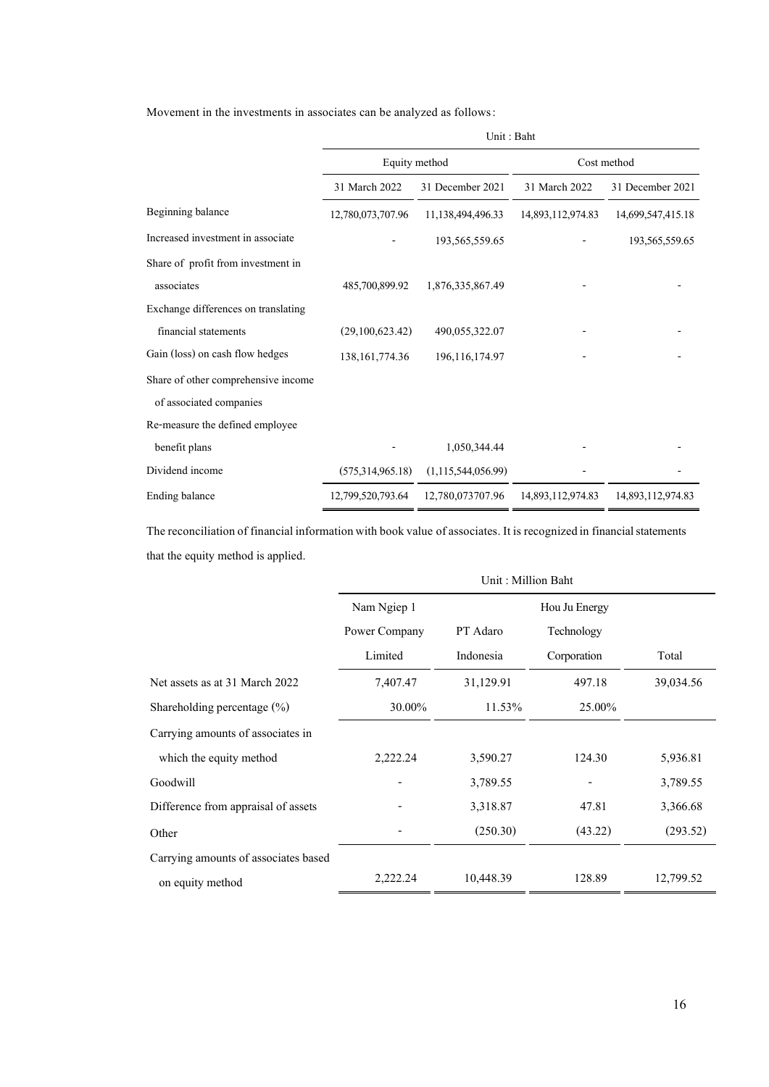Movement in the investments in associates can be analyzed as follows:

|                                     | Unit: Baht        |                       |                   |                   |
|-------------------------------------|-------------------|-----------------------|-------------------|-------------------|
|                                     | Equity method     |                       |                   | Cost method       |
|                                     | 31 March 2022     | 31 December 2021      | 31 March 2022     | 31 December 2021  |
| Beginning balance                   | 12,780,073,707.96 | 11,138,494,496.33     | 14,893,112,974.83 | 14,699,547,415.18 |
| Increased investment in associate   |                   | 193, 565, 559. 65     |                   | 193,565,559.65    |
| Share of profit from investment in  |                   |                       |                   |                   |
| associates                          | 485,700,899.92    | 1,876,335,867.49      |                   |                   |
| Exchange differences on translating |                   |                       |                   |                   |
| financial statements                | (29,100,623,42)   | 490,055,322.07        |                   |                   |
| Gain (loss) on cash flow hedges     | 138, 161, 774. 36 | 196, 116, 174. 97     |                   |                   |
| Share of other comprehensive income |                   |                       |                   |                   |
| of associated companies             |                   |                       |                   |                   |
| Re-measure the defined employee     |                   |                       |                   |                   |
| benefit plans                       |                   | 1,050,344.44          |                   |                   |
| Dividend income                     | (575,314,965.18)  | (1, 115, 544, 056.99) |                   |                   |
| Ending balance                      | 12,799,520,793.64 | 12,780,073707.96      | 14,893,112,974.83 | 14,893,112,974.83 |

The reconciliation of financial information with book value of associates. It is recognized in financial statements that the equity method is applied.

|                                      | Unit: Million Baht |           |               |           |
|--------------------------------------|--------------------|-----------|---------------|-----------|
|                                      | Nam Ngiep 1        |           | Hou Ju Energy |           |
|                                      | Power Company      | PT Adaro  | Technology    |           |
|                                      | Limited            | Indonesia | Corporation   | Total     |
| Net assets as at 31 March 2022       | 7,407.47           | 31,129.91 | 497.18        | 39,034.56 |
| Shareholding percentage $(\% )$      | 30.00%             | 11.53%    | 25.00%        |           |
| Carrying amounts of associates in    |                    |           |               |           |
| which the equity method              | 2,222.24           | 3,590.27  | 124.30        | 5,936.81  |
| Goodwill                             |                    | 3,789.55  |               | 3,789.55  |
| Difference from appraisal of assets  |                    | 3,318.87  | 47.81         | 3,366.68  |
| Other                                |                    | (250.30)  | (43.22)       | (293.52)  |
| Carrying amounts of associates based |                    |           |               |           |
| on equity method                     | 2,222.24           | 10,448.39 | 128.89        | 12,799.52 |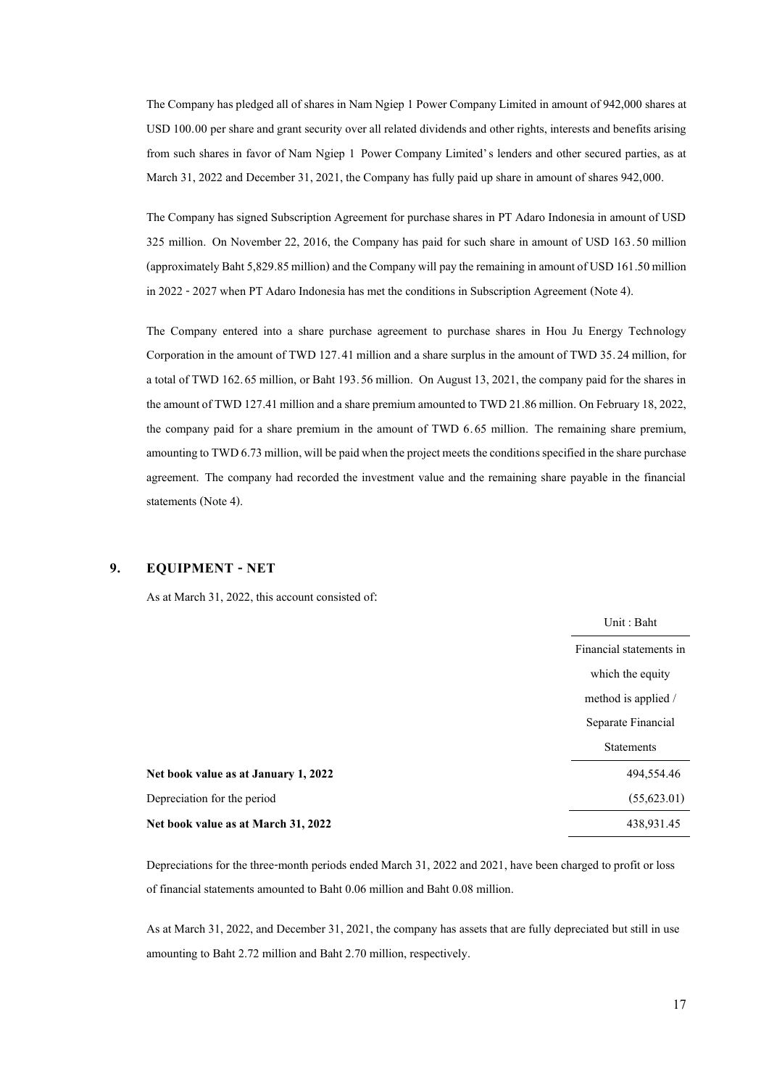The Company has pledged all of shares in Nam Ngiep 1 Power Company Limited in amount of 942,000 shares at USD 100.00 per share and grant security over all related dividends and other rights, interests and benefits arising from such shares in favor of Nam Ngiep 1 Power Company Limited's lenders and other secured parties, as at March 31, 2022 and December 31, 2021, the Company has fully paid up share in amount of shares 942,000.

The Company has signed Subscription Agreement for purchase shares in PT Adaro Indonesia in amount of USD 325 million. On November 22, 2016, the Company has paid for such share in amount of USD 163.50 million (approximately Baht 5,829.85 million) and the Company will pay the remaining in amount of USD 161.50 million in 2022 -2027 when PT Adaro Indonesia has met the conditions in Subscription Agreement (Note 4).

The Company entered into a share purchase agreement to purchase shares in Hou Ju Energy Technology Corporation in the amount of TWD 127.41 million and a share surplus in the amount of TWD 35.24 million, for a total of TWD 162.65 million, or Baht 193.56 million. On August 13, 2021, the company paid for the shares in the amount of TWD 127.41 million and a share premium amounted to TWD 21.86 million. On February 18, 2022, the company paid for a share premium in the amount of TWD 6.65 million. The remaining share premium, amounting to TWD 6.73 million, will be paid when the project meets the conditions specified in the share purchase agreement. The company had recorded the investment value and the remaining share payable in the financial statements (Note 4).

### **9. EQUIPMENT - NET**

As at March 31, 2022, this account consisted of:

|                                      | Unit: Baht              |
|--------------------------------------|-------------------------|
|                                      | Financial statements in |
|                                      | which the equity        |
|                                      | method is applied /     |
|                                      | Separate Financial      |
|                                      | <b>Statements</b>       |
| Net book value as at January 1, 2022 | 494,554.46              |
| Depreciation for the period          | (55,623.01)             |
| Net book value as at March 31, 2022  | 438,931.45              |
|                                      |                         |

Depreciations for the three-month periods ended March 31, 2022 and 2021, have been charged to profit or loss of financial statements amounted to Baht 0.06 million and Baht 0.08 million.

As at March 31, 2022, and December 31, 2021, the company has assets that are fully depreciated but still in use amounting to Baht 2.72 million and Baht 2.70 million, respectively.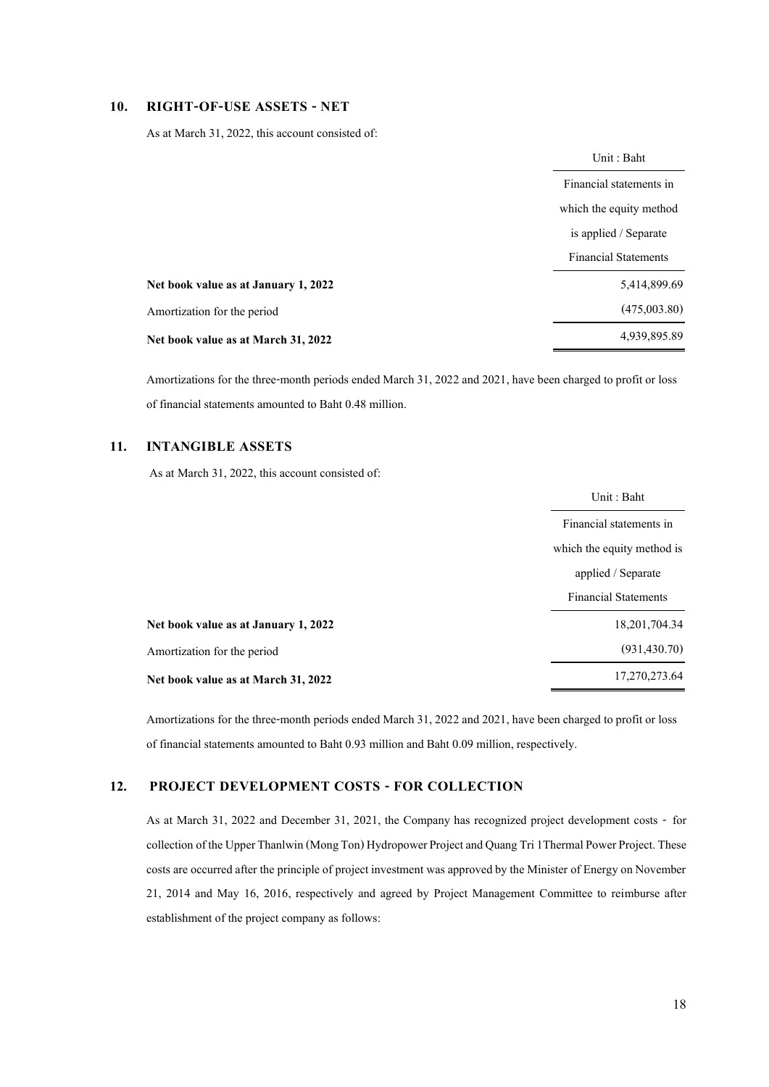### **10. RIGHT-OF-USE ASSETS - NET**

As at March 31, 2022, this account consisted of:

|                                      | Financial statements in<br>which the equity method |
|--------------------------------------|----------------------------------------------------|
|                                      |                                                    |
|                                      |                                                    |
|                                      | is applied / Separate                              |
|                                      | <b>Financial Statements</b>                        |
| Net book value as at January 1, 2022 | 5,414,899.69                                       |
| Amortization for the period          | (475,003.80)                                       |
| Net book value as at March 31, 2022  | 4,939,895.89                                       |

Amortizations for the three-month periods ended March 31, 2022 and 2021, have been charged to profit or loss of financial statements amounted to Baht 0.48 million.

### **11. INTANGIBLE ASSETS**

As at March 31, 2022, this account consisted of:

|                                      | Unit: Baht                  |
|--------------------------------------|-----------------------------|
|                                      | Financial statements in     |
|                                      | which the equity method is  |
|                                      | applied / Separate          |
|                                      | <b>Financial Statements</b> |
| Net book value as at January 1, 2022 | 18, 201, 704. 34            |
| Amortization for the period          | (931, 430.70)               |
| Net book value as at March 31, 2022  | 17,270,273.64               |

Amortizations for the three-month periods ended March 31, 2022 and 2021, have been charged to profit or loss of financial statements amounted to Baht 0.93 million and Baht 0.09 million, respectively.

### **12. PROJECT DEVELOPMENT COSTS - FOR COLLECTION**

As at March 31, 2022 and December 31, 2021, the Company has recognized project development costs - for collection of the Upper Thanlwin (Mong Ton) Hydropower Project and Quang Tri 1Thermal Power Project. These costs are occurred after the principle of project investment was approved by the Minister of Energy on November 21, 2014 and May 16, 2016, respectively and agreed by Project Management Committee to reimburse after establishment of the project company as follows: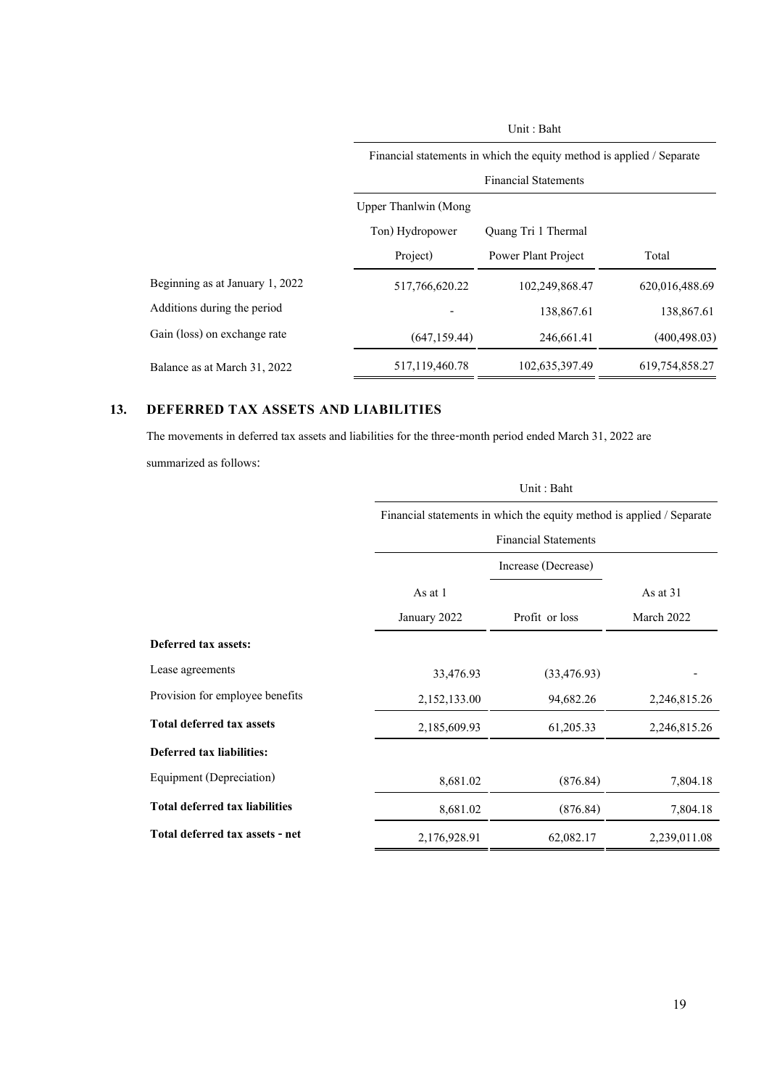|                                 | Financial statements in which the equity method is applied / Separate |                     |                |  |
|---------------------------------|-----------------------------------------------------------------------|---------------------|----------------|--|
|                                 | <b>Financial Statements</b>                                           |                     |                |  |
|                                 | Upper Thanlwin (Mong                                                  |                     |                |  |
|                                 | Ton) Hydropower                                                       | Quang Tri 1 Thermal |                |  |
|                                 | Project)                                                              | Power Plant Project | Total          |  |
| Beginning as at January 1, 2022 | 517,766,620.22                                                        | 102,249,868.47      | 620,016,488.69 |  |
| Additions during the period     |                                                                       | 138,867.61          | 138,867.61     |  |
| Gain (loss) on exchange rate    | (647, 159, 44)                                                        | 246,661.41          | (400, 498, 03) |  |
| Balance as at March 31, 2022    | 517,119,460.78                                                        | 102,635,397.49      | 619,754,858.27 |  |

Unit : Baht

# **13. DEFERRED TAX ASSETS AND LIABILITIES**

The movements in deferred tax assets and liabilities for the three-month period ended March 31, 2022 are

summarized as follows:

|                                       |              | Unit: Baht                                                            |              |  |  |
|---------------------------------------|--------------|-----------------------------------------------------------------------|--------------|--|--|
|                                       |              | Financial statements in which the equity method is applied / Separate |              |  |  |
|                                       |              | <b>Financial Statements</b>                                           |              |  |  |
|                                       |              | Increase (Decrease)                                                   |              |  |  |
|                                       | As at 1      |                                                                       | As at $31$   |  |  |
|                                       | January 2022 | Profit or loss                                                        | March 2022   |  |  |
| Deferred tax assets:                  |              |                                                                       |              |  |  |
| Lease agreements                      | 33,476.93    | (33, 476.93)                                                          |              |  |  |
| Provision for employee benefits       | 2,152,133.00 | 94,682.26                                                             | 2,246,815.26 |  |  |
| <b>Total deferred tax assets</b>      | 2,185,609.93 | 61,205.33                                                             | 2,246,815.26 |  |  |
| Deferred tax liabilities:             |              |                                                                       |              |  |  |
| Equipment (Depreciation)              | 8,681.02     | (876.84)                                                              | 7,804.18     |  |  |
| <b>Total deferred tax liabilities</b> | 8,681.02     | (876.84)                                                              | 7,804.18     |  |  |
| Total deferred tax assets - net       | 2,176,928.91 | 62,082.17                                                             | 2,239,011.08 |  |  |

19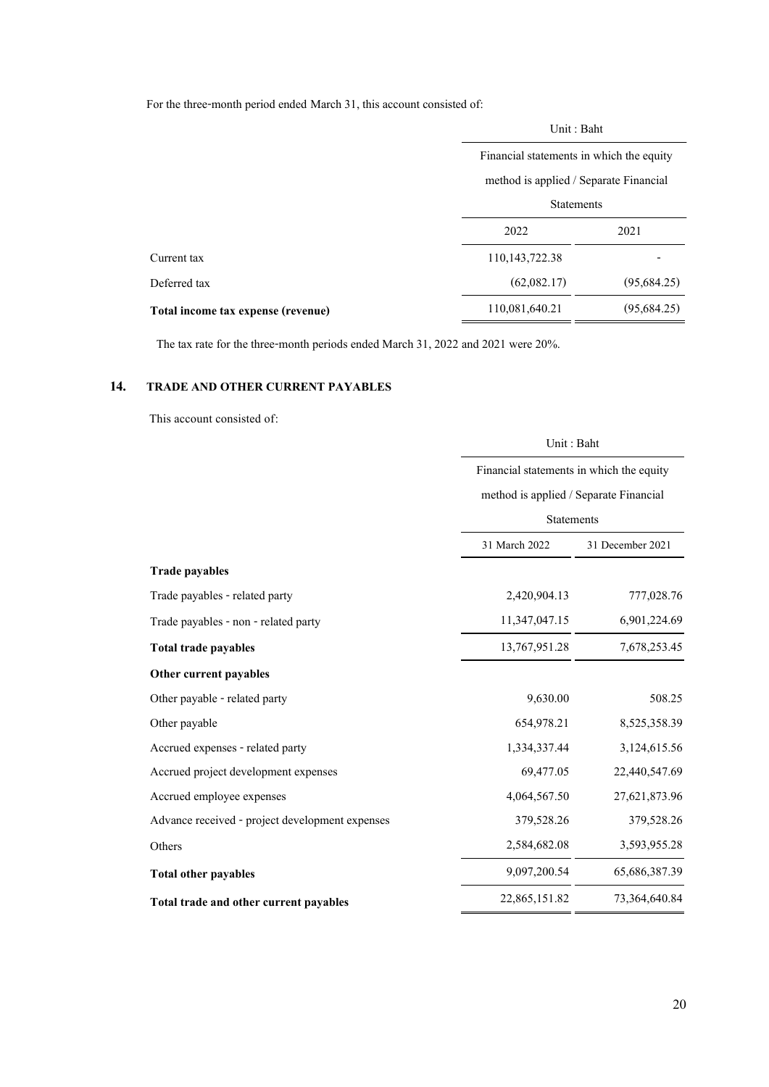For the three-month period ended March 31, this account consisted of:

|                                    | Unit: Baht                               |             |
|------------------------------------|------------------------------------------|-------------|
|                                    | Financial statements in which the equity |             |
|                                    | method is applied / Separate Financial   |             |
|                                    | <b>Statements</b>                        |             |
|                                    | 2022                                     | 2021        |
|                                    | 110, 143, 722. 38                        |             |
|                                    | (62,082.17)                              | (95,684.25) |
| Total income tax expense (revenue) | 110,081,640.21                           | (95,684.25) |
|                                    |                                          |             |

The tax rate for the three-month periods ended March 31, 2022 and 2021 were 20%.

### **14. TRADE AND OTHER CURRENT PAYABLES**

This account consisted of:

|                                                 | Unit: Baht<br>Financial statements in which the equity<br>method is applied / Separate Financial |                  |  |
|-------------------------------------------------|--------------------------------------------------------------------------------------------------|------------------|--|
|                                                 |                                                                                                  |                  |  |
|                                                 |                                                                                                  |                  |  |
|                                                 | Statements                                                                                       |                  |  |
|                                                 | 31 March 2022                                                                                    | 31 December 2021 |  |
| <b>Trade payables</b>                           |                                                                                                  |                  |  |
| Trade payables - related party                  | 2,420,904.13                                                                                     | 777,028.76       |  |
| Trade payables - non - related party            | 11,347,047.15                                                                                    | 6,901,224.69     |  |
| <b>Total trade payables</b>                     | 13,767,951.28                                                                                    | 7,678,253.45     |  |
| Other current payables                          |                                                                                                  |                  |  |
| Other payable - related party                   | 9,630.00                                                                                         | 508.25           |  |
| Other payable                                   | 654,978.21                                                                                       | 8,525,358.39     |  |
| Accrued expenses - related party                | 1,334,337.44                                                                                     | 3,124,615.56     |  |
| Accrued project development expenses            | 69,477.05                                                                                        | 22,440,547.69    |  |
| Accrued employee expenses                       | 4,064,567.50                                                                                     | 27,621,873.96    |  |
| Advance received - project development expenses | 379,528.26                                                                                       | 379,528.26       |  |
| Others                                          | 2,584,682.08                                                                                     | 3,593,955.28     |  |
| <b>Total other payables</b>                     | 9,097,200.54                                                                                     | 65,686,387.39    |  |
| Total trade and other current payables          | 22,865,151.82                                                                                    | 73, 364, 640. 84 |  |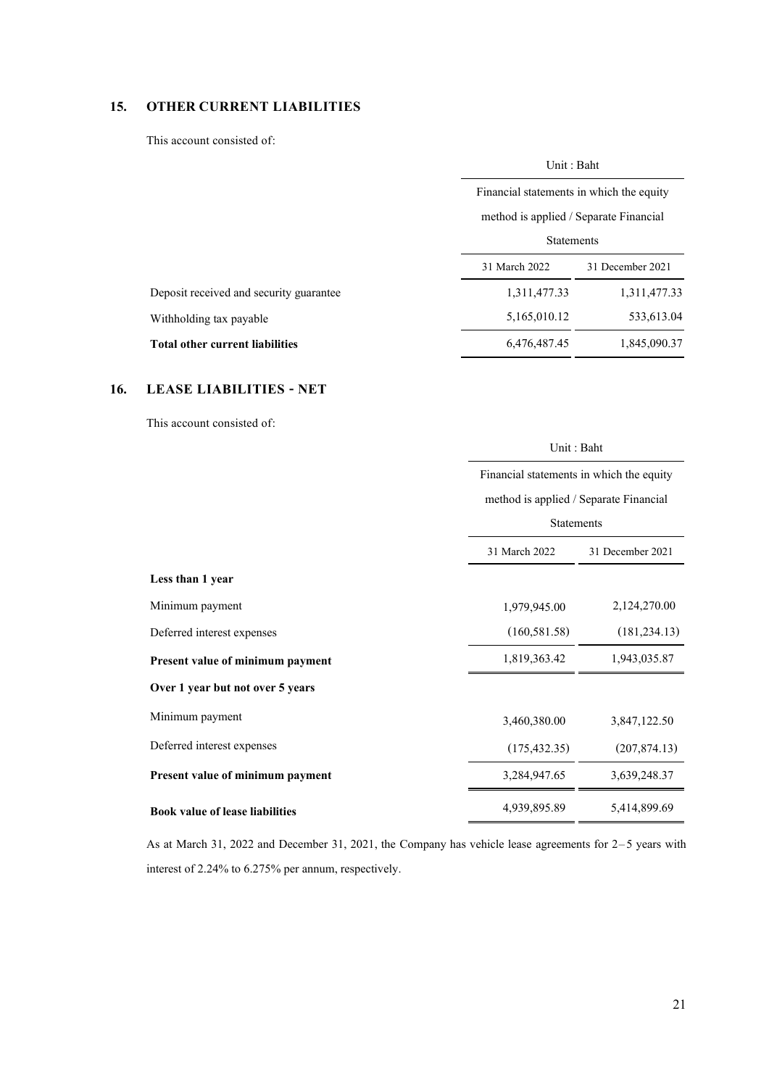# **15. OTHER CURRENT LIABILITIES**

This account consisted of:

|                                         | Unit: Baht                                                                                              |                  |  |
|-----------------------------------------|---------------------------------------------------------------------------------------------------------|------------------|--|
|                                         | Financial statements in which the equity<br>method is applied / Separate Financial<br><b>Statements</b> |                  |  |
|                                         |                                                                                                         |                  |  |
|                                         |                                                                                                         |                  |  |
|                                         | 31 March 2022                                                                                           | 31 December 2021 |  |
| Deposit received and security guarantee | 1,311,477.33                                                                                            | 1,311,477.33     |  |
| Withholding tax payable                 | 5,165,010.12                                                                                            | 533,613.04       |  |
| <b>Total other current liabilities</b>  | 6,476,487.45                                                                                            | 1,845,090.37     |  |
|                                         |                                                                                                         |                  |  |

## **16. LEASE LIABILITIES - NET**

This account consisted of:

|                                        |               | Unit: Baht<br>Financial statements in which the equity<br>method is applied / Separate Financial<br><b>Statements</b> |  |  |
|----------------------------------------|---------------|-----------------------------------------------------------------------------------------------------------------------|--|--|
|                                        |               |                                                                                                                       |  |  |
|                                        |               |                                                                                                                       |  |  |
|                                        |               |                                                                                                                       |  |  |
|                                        | 31 March 2022 | 31 December 2021                                                                                                      |  |  |
| Less than 1 year                       |               |                                                                                                                       |  |  |
| Minimum payment                        | 1,979,945.00  | 2,124,270.00                                                                                                          |  |  |
| Deferred interest expenses             | (160, 581.58) | (181, 234.13)                                                                                                         |  |  |
| Present value of minimum payment       | 1,819,363.42  | 1,943,035.87                                                                                                          |  |  |
| Over 1 year but not over 5 years       |               |                                                                                                                       |  |  |
| Minimum payment                        | 3,460,380.00  | 3,847,122.50                                                                                                          |  |  |
| Deferred interest expenses             | (175, 432.35) | (207, 874.13)                                                                                                         |  |  |
| Present value of minimum payment       | 3,284,947.65  | 3,639,248.37                                                                                                          |  |  |
| <b>Book value of lease liabilities</b> | 4,939,895.89  | 5,414,899.69                                                                                                          |  |  |

As at March 31, 2022 and December 31, 2021, the Company has vehicle lease agreements for 2–5 years with interest of 2.24% to 6.275% per annum, respectively.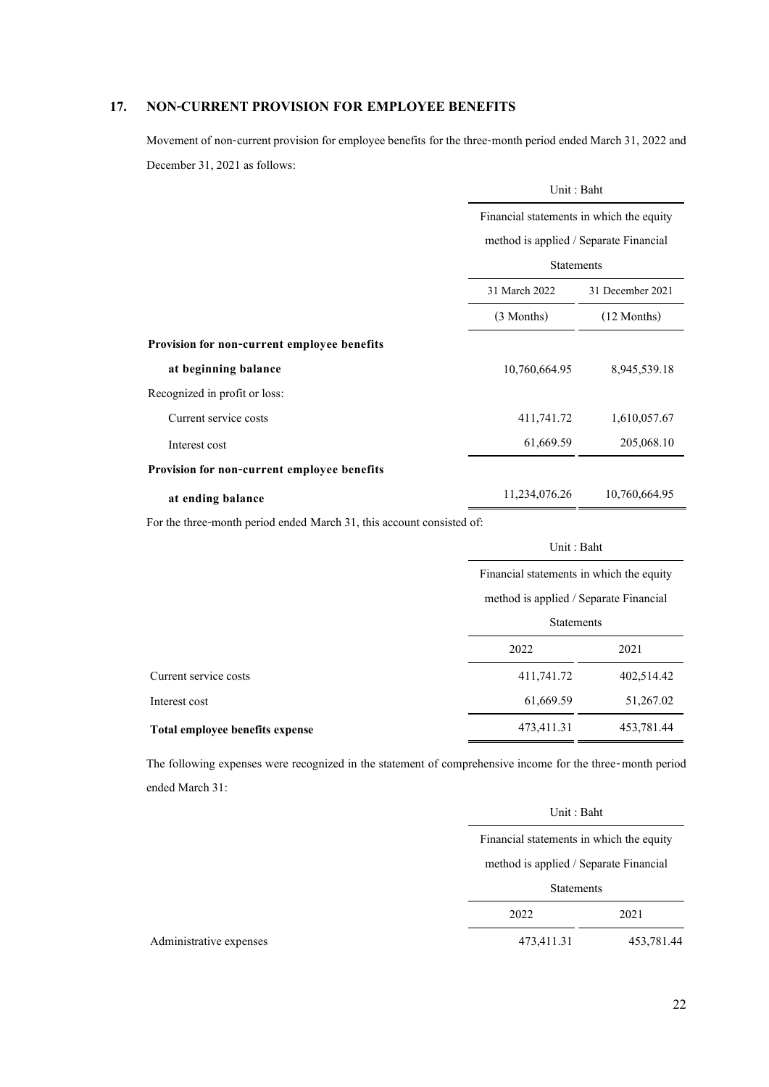## **17. NON-CURRENT PROVISION FOR EMPLOYEE BENEFITS**

Movement of non-current provision for employee benefits for the three-month period ended March 31, 2022 and December 31, 2021 as follows:

|                                             | Unit: Baht                             |                                          |  |  |
|---------------------------------------------|----------------------------------------|------------------------------------------|--|--|
|                                             |                                        | Financial statements in which the equity |  |  |
|                                             | method is applied / Separate Financial |                                          |  |  |
|                                             | <b>Statements</b>                      |                                          |  |  |
|                                             | 31 March 2022                          | 31 December 2021                         |  |  |
|                                             | (3 Months)                             | $(12$ Months)                            |  |  |
| Provision for non-current employee benefits |                                        |                                          |  |  |
| at beginning balance                        | 10,760,664.95                          | 8,945,539.18                             |  |  |
| Recognized in profit or loss:               |                                        |                                          |  |  |
| Current service costs                       | 411,741.72                             | 1,610,057.67                             |  |  |
| Interest cost                               | 61,669.59                              | 205,068.10                               |  |  |
| Provision for non-current employee benefits |                                        |                                          |  |  |
| at ending balance                           | 10,760,664.95<br>11,234,076.26         |                                          |  |  |

For the three-month period ended March 31, this account consisted of:

|                                 | Unit: Baht                               |            |  |
|---------------------------------|------------------------------------------|------------|--|
|                                 | Financial statements in which the equity |            |  |
|                                 | method is applied / Separate Financial   |            |  |
|                                 | <b>Statements</b>                        |            |  |
|                                 | 2022<br>2021                             |            |  |
| Current service costs           | 411,741.72                               | 402,514.42 |  |
| Interest cost                   | 51,267.02<br>61,669.59                   |            |  |
| Total employee benefits expense | 473,411.31<br>453,781.44                 |            |  |

The following expenses were recognized in the statement of comprehensive income for the three-month period ended March 31:

| Unit: Baht                               |            |
|------------------------------------------|------------|
| Financial statements in which the equity |            |
| method is applied / Separate Financial   |            |
| <b>Statements</b>                        |            |
| 2022                                     | 2021       |
| 473,411.31                               | 453,781.44 |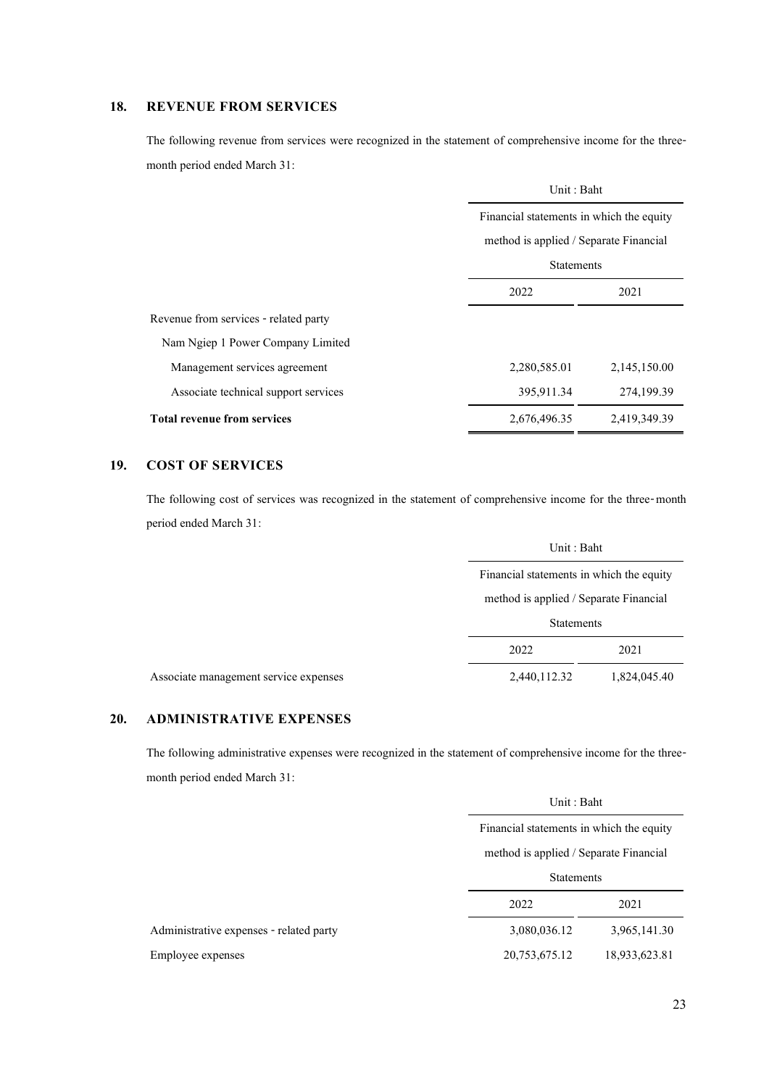# **18. REVENUE FROM SERVICES**

The following revenue from services were recognized in the statement of comprehensive income for the threemonth period ended March 31:

|                                       | Unit: Baht                               |              |  |
|---------------------------------------|------------------------------------------|--------------|--|
|                                       | Financial statements in which the equity |              |  |
|                                       | method is applied / Separate Financial   |              |  |
|                                       | <b>Statements</b>                        |              |  |
|                                       | 2022<br>2021                             |              |  |
| Revenue from services - related party |                                          |              |  |
| Nam Ngiep 1 Power Company Limited     |                                          |              |  |
| Management services agreement         | 2,280,585.01                             | 2,145,150.00 |  |
| Associate technical support services  | 395,911.34                               | 274,199.39   |  |
| <b>Total revenue from services</b>    | 2,676,496.35<br>2,419,349.39             |              |  |

## **19. COST OF SERVICES**

The following cost of services was recognized in the statement of comprehensive income for the three-month period ended March 31:

|                                       | Unit: Baht                               |  |  |
|---------------------------------------|------------------------------------------|--|--|
|                                       | Financial statements in which the equity |  |  |
|                                       | method is applied / Separate Financial   |  |  |
|                                       | <b>Statements</b><br>2022<br>2021        |  |  |
|                                       |                                          |  |  |
| Associate management service expenses | 2,440,112.32<br>1,824,045.40             |  |  |

# **20. ADMINISTRATIVE EXPENSES**

The following administrative expenses were recognized in the statement of comprehensive income for the threemonth period ended March 31:

|                                         |                                          | Unit : Baht                            |  |  |
|-----------------------------------------|------------------------------------------|----------------------------------------|--|--|
|                                         | Financial statements in which the equity |                                        |  |  |
|                                         |                                          | method is applied / Separate Financial |  |  |
|                                         | <b>Statements</b>                        |                                        |  |  |
|                                         | 2022                                     | 2021                                   |  |  |
| Administrative expenses - related party | 3,080,036.12                             | 3,965,141.30                           |  |  |
| Employee expenses                       | 20,753,675.12                            | 18,933,623.81                          |  |  |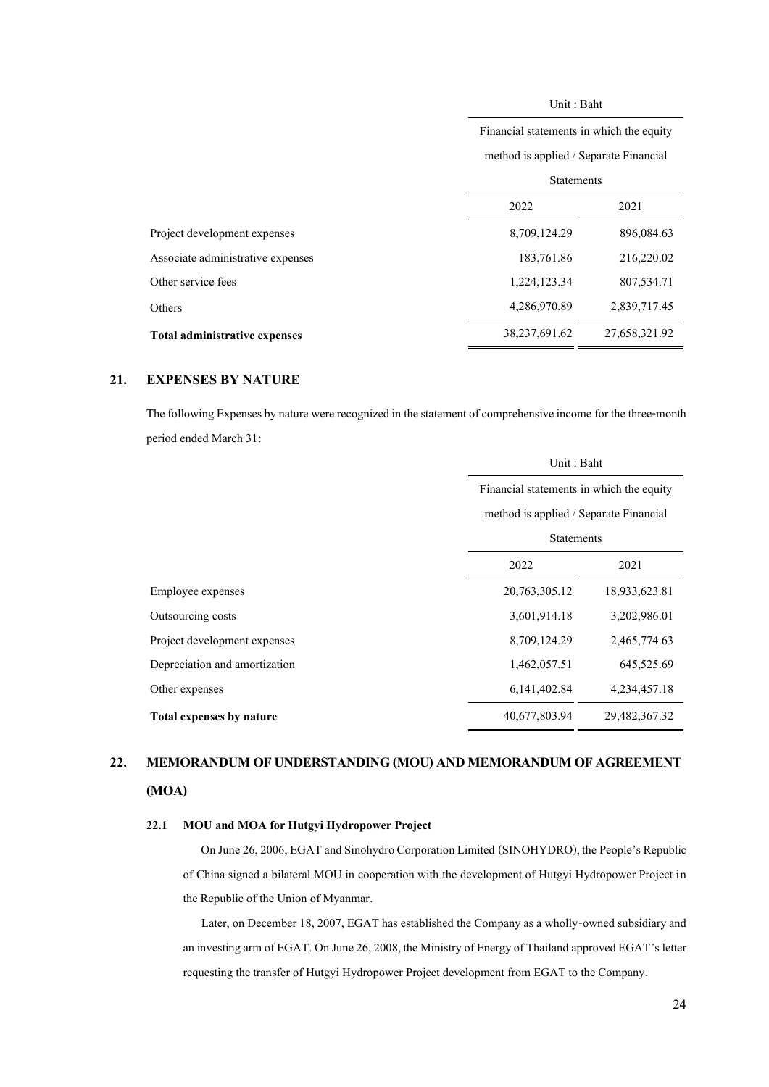Unit : Baht

|                                      | Financial statements in which the equity |               |  |  |
|--------------------------------------|------------------------------------------|---------------|--|--|
|                                      | method is applied / Separate Financial   |               |  |  |
|                                      | <b>Statements</b>                        |               |  |  |
|                                      | 2022<br>2021                             |               |  |  |
| Project development expenses         | 8,709,124.29                             | 896,084.63    |  |  |
| Associate administrative expenses    | 183,761.86                               | 216,220.02    |  |  |
| Other service fees                   | 1,224,123.34                             | 807,534.71    |  |  |
| Others                               | 4,286,970.89                             | 2,839,717.45  |  |  |
| <b>Total administrative expenses</b> | 38,237,691.62                            | 27,658,321.92 |  |  |

### **21. EXPENSES BY NATURE**

The following Expenses by nature were recognized in the statement of comprehensive income for the three-month period ended March 31:

|                               | Unit: Baht                               |               |  |  |
|-------------------------------|------------------------------------------|---------------|--|--|
|                               | Financial statements in which the equity |               |  |  |
|                               | method is applied / Separate Financial   |               |  |  |
|                               | <b>Statements</b>                        |               |  |  |
|                               | 2022<br>2021                             |               |  |  |
| Employee expenses             | 20,763,305.12                            | 18,933,623.81 |  |  |
| Outsourcing costs             | 3,601,914.18                             | 3,202,986.01  |  |  |
| Project development expenses  | 8,709,124.29                             | 2,465,774.63  |  |  |
| Depreciation and amortization | 1,462,057.51                             | 645,525.69    |  |  |
| Other expenses                | 6, 141, 402. 84                          | 4,234,457.18  |  |  |
| Total expenses by nature      | 40,677,803.94<br>29,482,367.32           |               |  |  |

# **22. MEMORANDUM OF UNDERSTANDING (MOU) AND MEMORANDUM OF AGREEMENT (MOA)**

### **22.1 MOU and MOA for Hutgyi Hydropower Project**

 On June 26, 2006, EGAT and Sinohydro Corporation Limited (SINOHYDRO), the People's Republic of China signed a bilateral MOU in cooperation with the development of Hutgyi Hydropower Project in the Republic of the Union of Myanmar.

Later, on December 18, 2007, EGAT has established the Company as a wholly-owned subsidiary and an investing arm of EGAT. On June 26, 2008, the Ministry of Energy of Thailand approved EGAT's letter requesting the transfer of Hutgyi Hydropower Project development from EGAT to the Company.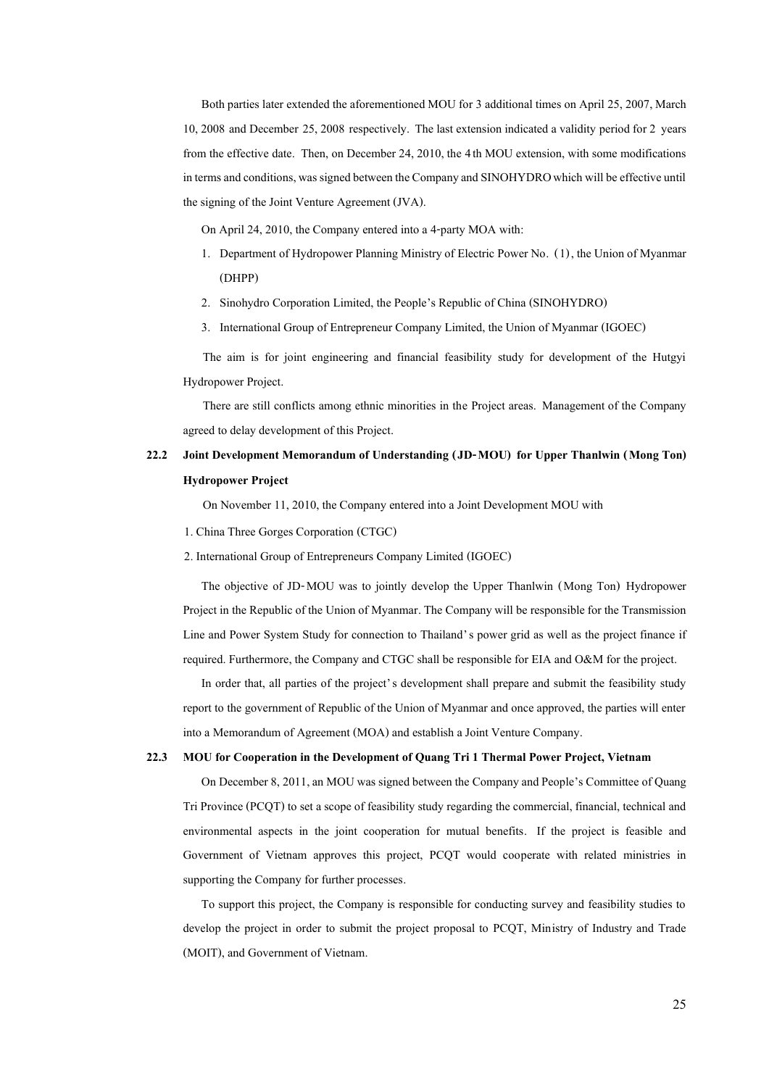Both parties later extended the aforementioned MOU for 3 additional times on April 25, 2007, March 10, 2008 and December 25, 2008 respectively. The last extension indicated a validity period for 2 years from the effective date. Then, on December 24, 2010, the 4th MOU extension, with some modifications in terms and conditions, was signed between the Company and SINOHYDRO which will be effective until the signing of the Joint Venture Agreement (JVA).

On April 24, 2010, the Company entered into a 4-party MOA with:

- 1. Department of Hydropower Planning Ministry of Electric Power No. (1), the Union of Myanmar (DHPP)
- 2. Sinohydro Corporation Limited, the People's Republic of China (SINOHYDRO)
- 3. International Group of Entrepreneur Company Limited, the Union of Myanmar (IGOEC)

The aim is for joint engineering and financial feasibility study for development of the Hutgyi Hydropower Project.

There are still conflicts among ethnic minorities in the Project areas. Management of the Company agreed to delay development of this Project.

# **22.2 Joint Development Memorandum of Understanding (JD-MOU) for Upper Thanlwin (Mong Ton) Hydropower Project**

On November 11, 2010, the Company entered into a Joint Development MOU with

1. China Three Gorges Corporation (CTGC)

2. International Group of Entrepreneurs Company Limited (IGOEC)

The objective of JD-MOU was to jointly develop the Upper Thanlwin (Mong Ton) Hydropower Project in the Republic of the Union of Myanmar. The Company will be responsible for the Transmission Line and Power System Study for connection to Thailand's power grid as well as the project finance if required. Furthermore, the Company and CTGC shall be responsible for EIA and O&M for the project.

In order that, all parties of the project's development shall prepare and submit the feasibility study report to the government of Republic of the Union of Myanmar and once approved, the parties will enter into a Memorandum of Agreement (MOA) and establish a Joint Venture Company.

#### **22.3 MOU for Cooperation in the Development of Quang Tri 1 Thermal Power Project, Vietnam**

On December 8, 2011, an MOU was signed between the Company and People's Committee of Quang Tri Province (PCQT) to set a scope of feasibility study regarding the commercial, financial, technical and environmental aspects in the joint cooperation for mutual benefits. If the project is feasible and Government of Vietnam approves this project, PCQT would cooperate with related ministries in supporting the Company for further processes.

To support this project, the Company is responsible for conducting survey and feasibility studies to develop the project in order to submit the project proposal to PCQT, Ministry of Industry and Trade (MOIT), and Government of Vietnam.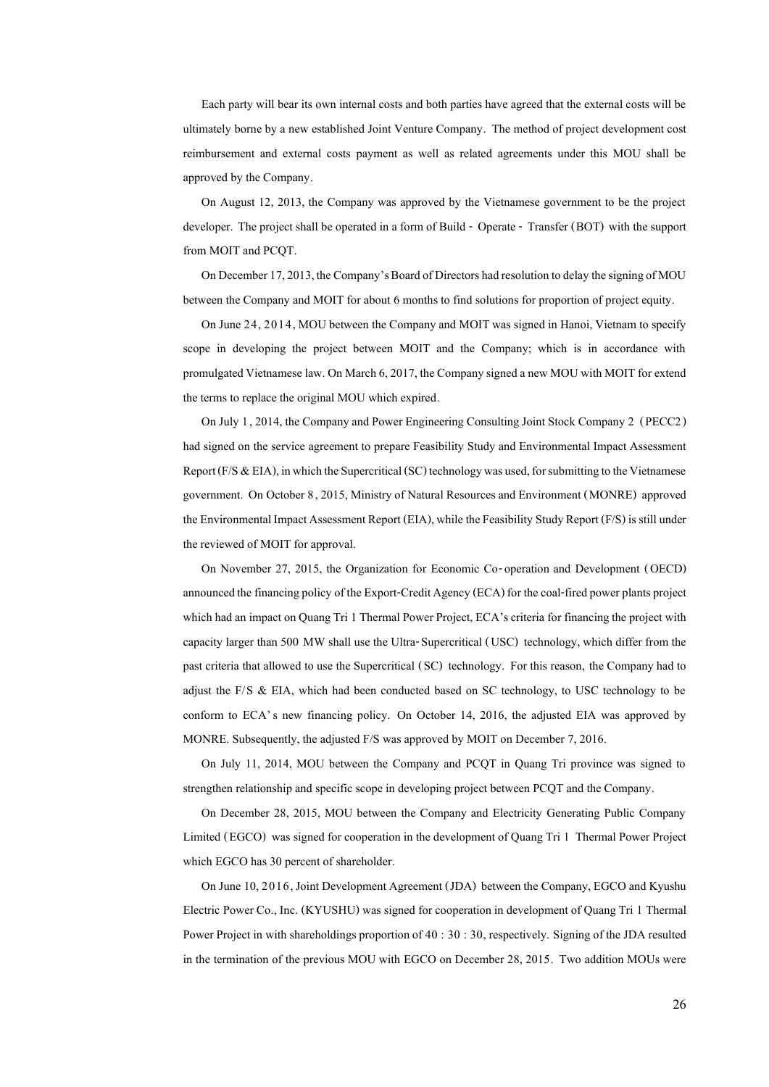Each party will bear its own internal costs and both parties have agreed that the external costs will be ultimately borne by a new established Joint Venture Company. The method of project development cost reimbursement and external costs payment as well as related agreements under this MOU shall be approved by the Company.

On August 12, 2013, the Company was approved by the Vietnamese government to be the project developer. The project shall be operated in a form of Build - Operate - Transfer (BOT) with the support from MOIT and PCQT.

On December 17, 2013, the Company's Board of Directors had resolution to delay the signing of MOU between the Company and MOIT for about 6 months to find solutions for proportion of project equity.

On June 24, 2014, MOU between the Company and MOIT was signed in Hanoi, Vietnam to specify scope in developing the project between MOIT and the Company; which is in accordance with promulgated Vietnamese law. On March 6,2017, the Company signed a new MOU with MOIT for extend the terms to replace the original MOU which expired.

On July 1, 2014, the Company and Power Engineering Consulting Joint Stock Company 2 (PECC2) had signed on the service agreement to prepare Feasibility Study and Environmental Impact Assessment Report ( $F/S \& EIA$ ), in which the Supercritical (SC) technology was used, for submitting to the Vietnamese government. On October 8, 2015, Ministry of Natural Resources and Environment (MONRE) approved the Environmental Impact Assessment Report (EIA), while the Feasibility Study Report (F/S) is still under the reviewed of MOIT for approval.

On November 27, 2015, the Organization for Economic Co-operation and Development (OECD) announced the financing policy of the Export-Credit Agency (ECA) for the coal-fired power plants project which had an impact on Quang Tri 1 Thermal Power Project, ECA's criteria for financing the project with capacity larger than 500 MW shall use the Ultra-Supercritical (USC) technology, which differ from the past criteria that allowed to use the Supercritical (SC) technology. For this reason, the Company had to adjust the F/S & EIA, which had been conducted based on SC technology, to USC technology to be conform to ECA's new financing policy. On October 14, 2016, the adjusted EIA was approved by MONRE. Subsequently, the adjusted F/S was approved by MOIT on December 7, 2016.

On July 11, 2014, MOU between the Company and PCQT in Quang Tri province was signed to strengthen relationship and specific scope in developing project between PCQT and the Company.

On December 28, 2015, MOU between the Company and Electricity Generating Public Company Limited (EGCO) was signed for cooperation in the development of Quang Tri 1 Thermal Power Project which EGCO has 30 percent of shareholder.

On June 10, 2016, Joint Development Agreement (JDA) between the Company, EGCO and Kyushu Electric Power Co., Inc. (KYUSHU) was signed for cooperation in development of Quang Tri 1 Thermal Power Project in with shareholdings proportion of 40 : 30 : 30, respectively. Signing of the JDA resulted in the termination of the previous MOU with EGCO on December 28, 2015. Two addition MOUs were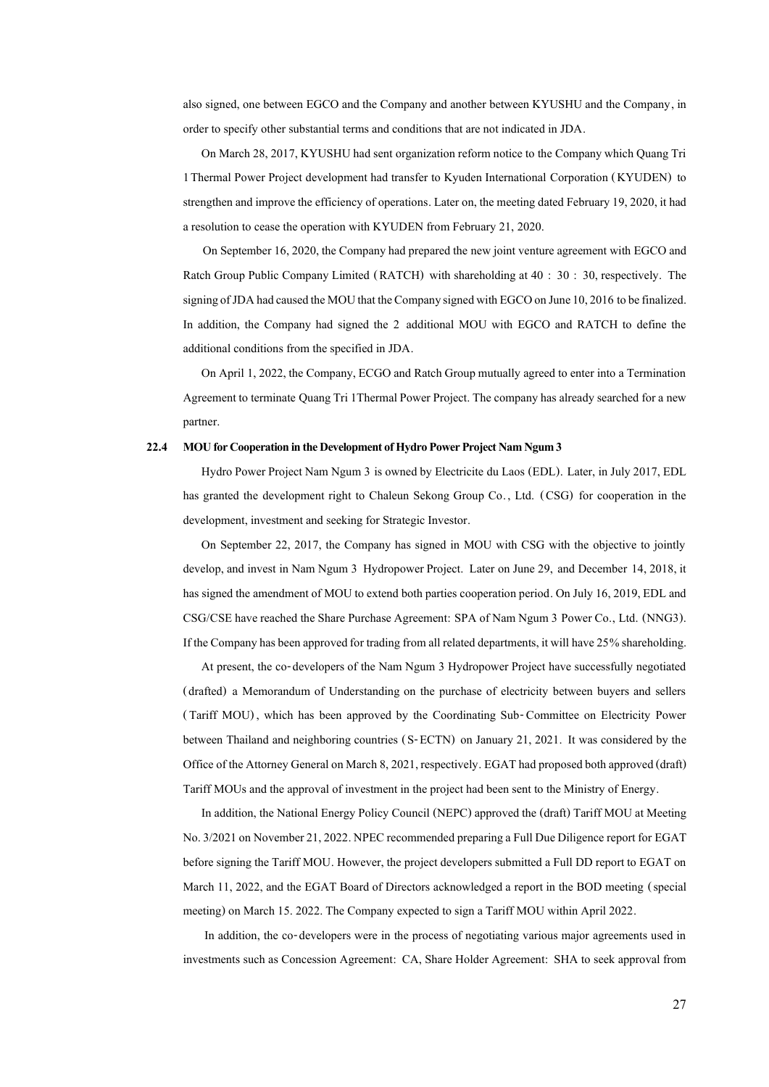also signed, one between EGCO and the Company and another between KYUSHU and the Company, in order to specify other substantial terms and conditions that are not indicated in JDA.

On March 28, 2017, KYUSHU had sent organization reform notice to the Company which Quang Tri 1Thermal Power Project development had transfer to Kyuden International Corporation (KYUDEN) to strengthen and improve the efficiency of operations. Later on, the meeting dated February 19, 2020, it had a resolution to cease the operation with KYUDEN from February 21, 2020.

On September 16, 2020, the Company had prepared the new joint venture agreement with EGCO and Ratch Group Public Company Limited (RATCH) with shareholding at 40 : 30 : 30, respectively. The signing of JDA had caused the MOU that the Company signed with EGCO on June 10, 2016 to be finalized. In addition, the Company had signed the 2 additional MOU with EGCO and RATCH to define the additional conditions from the specified in JDA.

On April 1, 2022, the Company, ECGO and Ratch Group mutually agreed to enter into a Termination Agreement to terminate Quang Tri 1Thermal Power Project. The company has already searched for a new partner.

#### **22.4 MOU for Cooperation in the Development of Hydro Power Project Nam Ngum 3**

Hydro Power Project Nam Ngum 3 is owned by Electricite du Laos (EDL). Later, in July 2017, EDL has granted the development right to Chaleun Sekong Group Co. , Ltd. (CSG) for cooperation in the development, investment and seeking for Strategic Investor.

On September 22, 2017, the Company has signed in MOU with CSG with the objective to jointly develop, and invest in Nam Ngum 3 Hydropower Project. Later on June 29, and December 14, 2018, it has signed the amendment of MOU to extend both parties cooperation period. On July 16, 2019, EDL and CSG/CSE have reached the Share Purchase Agreement: SPA of Nam Ngum 3 Power Co., Ltd. (NNG3). If the Company has been approved for trading from all related departments, it will have 25% shareholding.

At present, the co-developers of the Nam Ngum 3 Hydropower Project have successfully negotiated (drafted) a Memorandum of Understanding on the purchase of electricity between buyers and sellers ( Tariff MOU) , which has been approved by the Coordinating Sub- Committee on Electricity Power between Thailand and neighboring countries (S-ECTN) on January 21, 2021. It was considered by the Office of the Attorney General on March 8, 2021, respectively. EGAT had proposed both approved (draft) Tariff MOUs and the approval of investment in the project had been sent to the Ministry of Energy.

In addition, the National Energy Policy Council (NEPC) approvedthe (draft) Tariff MOU at Meeting No. 3/2021 on November 21, 2022. NPEC recommended preparing a Full Due Diligence report for EGAT before signing the Tariff MOU. However, the project developers submitted a Full DD report to EGAT on March 11, 2022, and the EGAT Board of Directors acknowledged a report in the BOD meeting (special meeting) on March 15. 2022. The Company expected to sign a Tariff MOU within April 2022.

In addition, the co-developers were in the process of negotiating various major agreements used in investments such as Concession Agreement: CA, Share Holder Agreement: SHA to seek approval from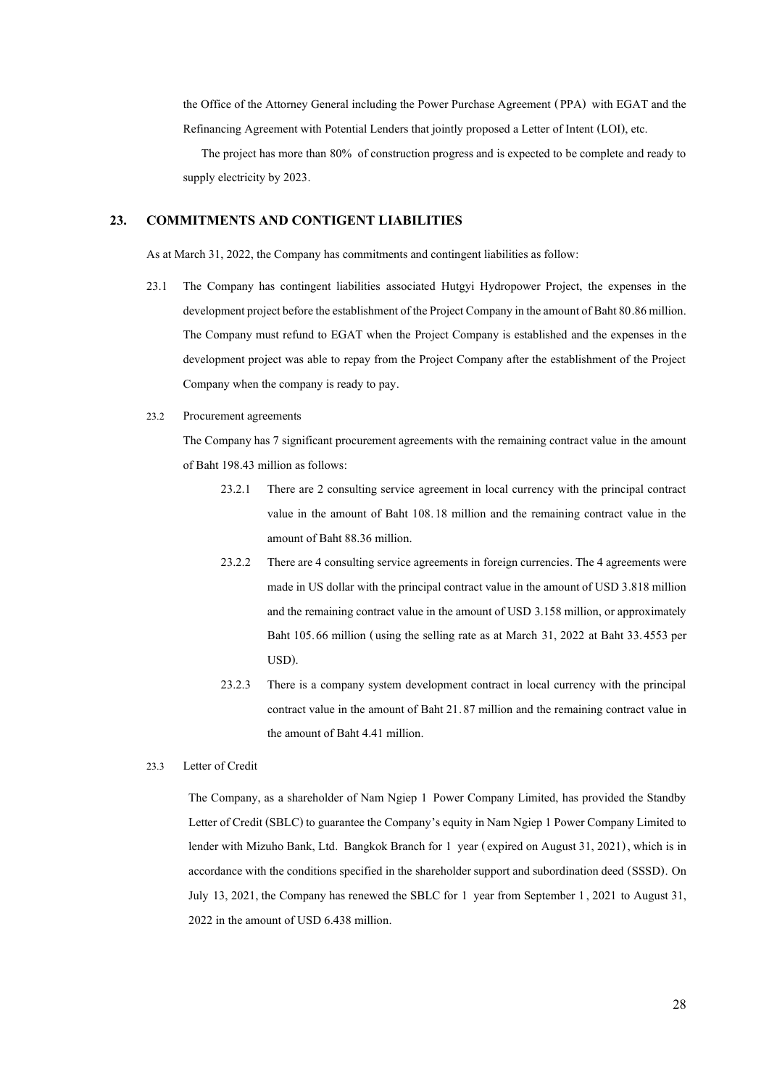the Office of the Attorney General including the Power Purchase Agreement (PPA) with EGAT and the Refinancing Agreement with Potential Lenders that jointly proposed a Letter of Intent (LOI), etc.

The project has more than 80% of construction progress and is expected to be complete and ready to supply electricity by 2023.

### **23. COMMITMENTS AND CONTIGENT LIABILITIES**

As at March 31, 2022, the Company has commitments and contingent liabilities as follow:

- 23.1 The Company has contingent liabilities associated Hutgyi Hydropower Project, the expenses in the development project before the establishment of the Project Company in the amount of Baht 80.86 million. The Company must refund to EGAT when the Project Company is established and the expenses in the development project was able to repay from the Project Company after the establishment of the Project Company when the company is ready to pay.
- 23.2 Procurement agreements

The Company has 7 significant procurement agreements with the remaining contract value in the amount of Baht 198.43 million as follows:

- 23.2.1 There are 2 consulting service agreement in local currency with the principal contract value in the amount of Baht 108.18 million and the remaining contract value in the amount of Baht 88.36 million.
- 23.2.2 There are 4 consulting service agreements in foreign currencies. The 4 agreements were made in US dollar with the principal contract value in the amount of USD 3.818 million and the remaining contract value in the amount of USD 3.158 million, or approximately Baht 105.66 million (using the selling rate as at March 31, 2022 at Baht 33.4553 per USD).
- 23.2.3 There is a company system development contract in local currency with the principal contract value in the amount of Baht 21.87 million and the remaining contract value in the amount of Baht 4.41 million.
- 23.3 Letter of Credit

The Company, as a shareholder of Nam Ngiep 1 Power Company Limited, has provided the Standby Letter of Credit (SBLC) to guarantee the Company's equity in Nam Ngiep 1 Power Company Limited to lender with Mizuho Bank, Ltd. Bangkok Branch for 1 year (expired on August 31, 2021), which is in accordance with the conditions specified in the shareholder support and subordination deed (SSSD). On July 13, 2021, the Company has renewed the SBLC for 1 year from September 1, 2021 to August 31, 2022 in the amount of USD 6.438 million.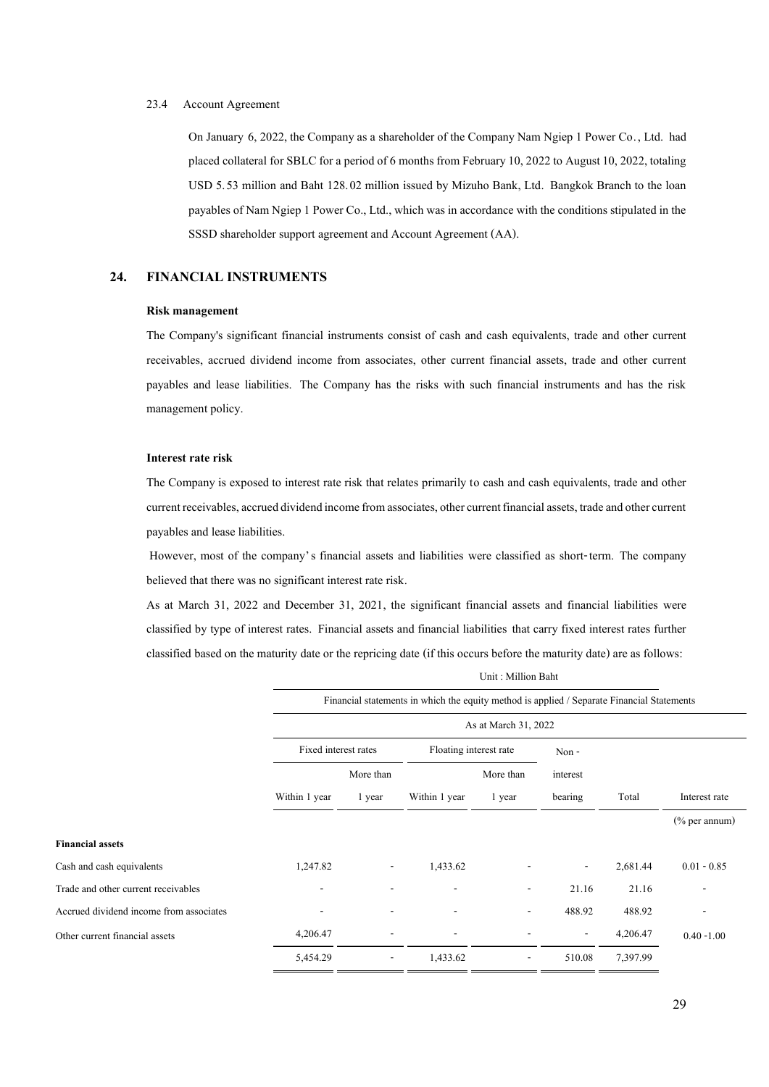#### 23.4 Account Agreement

On January 6, 2022, the Company as a shareholder of the Company Nam Ngiep 1 Power Co. , Ltd. had placed collateral for SBLC for a period of 6 months from February 10, 2022 to August 10, 2022, totaling USD 5.53 million and Baht 128.02 million issued by Mizuho Bank, Ltd. Bangkok Branch to the loan payables of Nam Ngiep 1 Power Co., Ltd., which was in accordance with the conditions stipulated in the SSSD shareholder support agreement and Account Agreement (AA).

### **24. FINANCIAL INSTRUMENTS**

#### **Risk management**

The Company's significant financial instruments consist of cash and cash equivalents, trade and other current receivables, accrued dividend income from associates, other current financial assets, trade and other current payables and lease liabilities. The Company has the risks with such financial instruments and has the risk management policy.

#### **Interest rate risk**

The Company is exposed to interest rate risk that relates primarily to cash and cash equivalents, trade and other current receivables, accrued dividend income from associates, other current financial assets, trade and other current payables and lease liabilities.

However, most of the company's financial assets and liabilities were classified as short-term. The company believed that there was no significant interest rate risk.

As at March 31, 2022 and December 31, 2021, the significant financial assets and financial liabilities were classified by type of interest rates. Financial assets and financial liabilities that carry fixed interest rates further classified based on the maturity date or the repricing date (if this occurs before the maturity date) are as follows: Unit : Million Baht

|                                         | Financial statements in which the equity method is applied / Separate Financial Statements |                          |                          |                          |                          |          |                              |
|-----------------------------------------|--------------------------------------------------------------------------------------------|--------------------------|--------------------------|--------------------------|--------------------------|----------|------------------------------|
|                                         | As at March 31, 2022                                                                       |                          |                          |                          |                          |          |                              |
|                                         | Fixed interest rates<br>Floating interest rate                                             |                          |                          |                          | Non-                     |          |                              |
|                                         |                                                                                            | More than<br>More than   |                          | interest                 |                          |          |                              |
|                                         | Within 1 year                                                                              | 1 year                   | Within 1 year            | 1 year                   | bearing                  | Total    | Interest rate                |
|                                         |                                                                                            |                          |                          |                          |                          |          | $(\%$ per annum)             |
| <b>Financial assets</b>                 |                                                                                            |                          |                          |                          |                          |          |                              |
| Cash and cash equivalents               | 1,247.82                                                                                   | -                        | 1,433.62                 |                          | $\overline{\phantom{a}}$ | 2,681.44 | $0.01 - 0.85$                |
| Trade and other current receivables     | $\overline{\phantom{a}}$                                                                   | $\overline{\phantom{a}}$ | $\overline{\phantom{a}}$ | $\overline{\phantom{a}}$ | 21.16                    | 21.16    | $\qquad \qquad \blacksquare$ |
| Accrued dividend income from associates | $\overline{\phantom{0}}$                                                                   |                          | ۰                        | $\overline{\phantom{a}}$ | 488.92                   | 488.92   | $\qquad \qquad -$            |
| Other current financial assets          | 4,206.47                                                                                   |                          | ٠                        |                          | $\overline{\phantom{a}}$ | 4,206.47 | $0.40 - 1.00$                |
|                                         | 5,454.29                                                                                   | $\overline{\phantom{a}}$ | 1,433.62                 | $\overline{\phantom{a}}$ | 510.08                   | 7,397.99 |                              |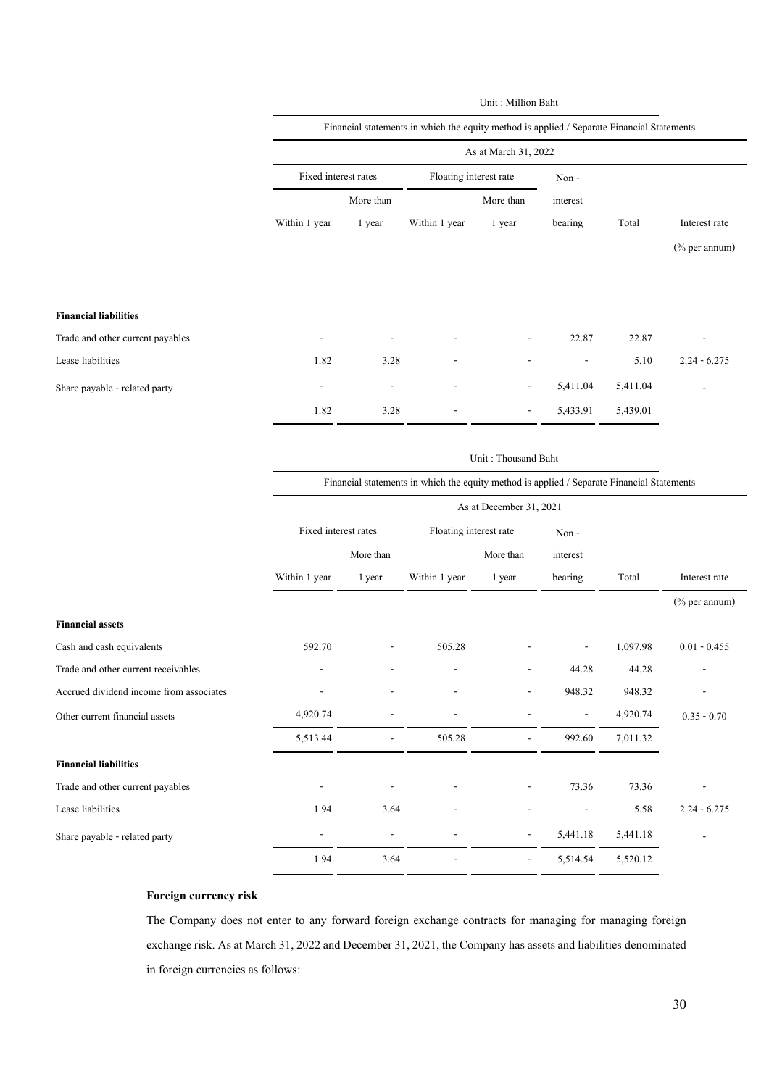|                                         |                          |                          |                                                                                            | Unit: Million Baht      |                |          |                  |
|-----------------------------------------|--------------------------|--------------------------|--------------------------------------------------------------------------------------------|-------------------------|----------------|----------|------------------|
|                                         |                          |                          | Financial statements in which the equity method is applied / Separate Financial Statements |                         |                |          |                  |
|                                         |                          |                          |                                                                                            | As at March 31, 2022    |                |          |                  |
|                                         | Fixed interest rates     |                          | Floating interest rate                                                                     |                         | Non-           |          |                  |
|                                         |                          | More than                |                                                                                            | More than               | interest       |          |                  |
|                                         | Within 1 year            | 1 year                   | Within 1 year                                                                              | 1 year                  | bearing        | Total    | Interest rate    |
|                                         |                          |                          |                                                                                            |                         |                |          | $(\%$ per annum) |
|                                         |                          |                          |                                                                                            |                         |                |          |                  |
|                                         |                          |                          |                                                                                            |                         |                |          |                  |
| <b>Financial liabilities</b>            |                          |                          |                                                                                            |                         |                |          |                  |
| Trade and other current payables        |                          |                          |                                                                                            |                         | 22.87          | 22.87    |                  |
| Lease liabilities                       | 1.82                     | 3.28                     |                                                                                            |                         |                | 5.10     | $2.24 - 6.275$   |
| Share payable - related party           |                          |                          |                                                                                            |                         | 5,411.04       | 5,411.04 |                  |
|                                         | 1.82                     | 3.28                     |                                                                                            |                         | 5,433.91       | 5,439.01 |                  |
|                                         |                          |                          |                                                                                            |                         |                |          |                  |
|                                         |                          |                          |                                                                                            | Unit: Thousand Baht     |                |          |                  |
|                                         |                          |                          | Financial statements in which the equity method is applied / Separate Financial Statements |                         |                |          |                  |
|                                         |                          |                          |                                                                                            | As at December 31, 2021 |                |          |                  |
|                                         | Fixed interest rates     |                          | Floating interest rate                                                                     |                         | Non-           |          |                  |
|                                         |                          | More than                | More than                                                                                  |                         | interest       |          |                  |
|                                         | Within 1 year            | 1 year                   | Within 1 year                                                                              | 1 year                  | bearing        | Total    | Interest rate    |
|                                         |                          |                          |                                                                                            |                         |                |          | (% per annum)    |
| <b>Financial assets</b>                 |                          |                          |                                                                                            |                         |                |          |                  |
| Cash and cash equivalents               | 592.70                   |                          | 505.28                                                                                     |                         |                | 1,097.98 | $0.01 - 0.455$   |
| Trade and other current receivables     |                          |                          |                                                                                            |                         | 44.28          | 44.28    |                  |
| Accrued dividend income from associates |                          |                          |                                                                                            |                         | 948.32         | 948.32   |                  |
| Other current financial assets          | 4,920.74                 |                          |                                                                                            |                         | $\overline{a}$ | 4,920.74 | $0.35 - 0.70$    |
|                                         | 5,513.44                 |                          | 505.28                                                                                     |                         | 992.60         | 7,011.32 |                  |
| <b>Financial liabilities</b>            |                          |                          |                                                                                            |                         |                |          |                  |
| Trade and other current payables        |                          |                          |                                                                                            |                         | 73.36          | 73.36    |                  |
| Lease liabilities                       | 1.94                     | 3.64                     |                                                                                            |                         | ٠              | 5.58     | $2.24 - 6.275$   |
| Share payable - related party           | $\overline{\phantom{a}}$ | $\overline{\phantom{a}}$ | $\overline{\phantom{a}}$                                                                   |                         | 5,441.18       | 5,441.18 |                  |
|                                         | 1.94                     | 3.64                     |                                                                                            |                         | 5,514.54       | 5,520.12 |                  |
|                                         |                          |                          |                                                                                            |                         |                |          |                  |

### **Foreign currency risk**

The Company does not enter to any forward foreign exchange contracts for managing for managing foreign exchange risk. As at March 31, 2022 and December 31, 2021, the Company has assets and liabilities denominated in foreign currencies as follows: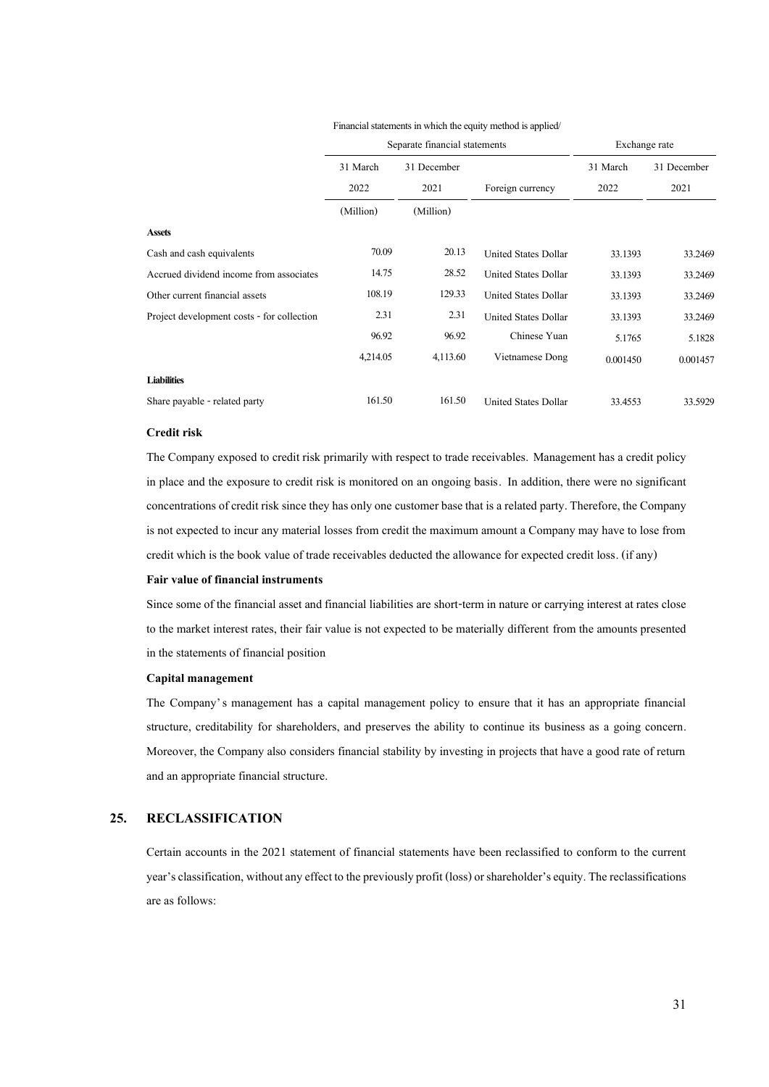|                                            | Separate financial statements |             |                             | Exchange rate |             |  |
|--------------------------------------------|-------------------------------|-------------|-----------------------------|---------------|-------------|--|
|                                            | 31 March                      | 31 December |                             | 31 March      | 31 December |  |
|                                            | 2022                          | 2021        | Foreign currency            | 2022          | 2021        |  |
|                                            | (Million)                     | (Million)   |                             |               |             |  |
| <b>Assets</b>                              |                               |             |                             |               |             |  |
| Cash and cash equivalents                  | 70.09                         | 20.13       | <b>United States Dollar</b> | 33.1393       | 33.2469     |  |
| Accrued dividend income from associates    | 14.75                         | 28.52       | United States Dollar        | 33.1393       | 33.2469     |  |
| Other current financial assets             | 108.19                        | 129.33      | <b>United States Dollar</b> | 33.1393       | 33.2469     |  |
| Project development costs - for collection | 2.31                          | 2.31        | United States Dollar        | 33.1393       | 33.2469     |  |
|                                            | 96.92                         | 96.92       | Chinese Yuan                | 5.1765        | 5.1828      |  |
|                                            | 4,214.05                      | 4,113.60    | Vietnamese Dong             | 0.001450      | 0.001457    |  |
| <b>Liabilities</b>                         |                               |             |                             |               |             |  |
| Share payable - related party              | 161.50                        | 161.50      | <b>United States Dollar</b> | 33.4553       | 33.5929     |  |

#### Financial statements in which the equity method is applied/

### **Credit risk**

The Company exposed to credit risk primarily with respect to trade receivables. Management has a credit policy in place and the exposure to credit risk is monitored on an ongoing basis. In addition, there were no significant concentrations of credit risk since they has only one customer base that is a related party. Therefore, the Company is not expected to incur any material losses from credit the maximum amount a Company may have to lose from credit which is the book value of trade receivables deducted the allowance for expected credit loss. (if any)

#### **Fair value of financial instruments**

Since some of the financial asset and financial liabilities are short-term in nature or carrying interest at rates close to the market interest rates, their fair value is not expected to be materially different from the amounts presented in the statements of financial position

#### **Capital management**

The Company's management has a capital management policy to ensure that it has an appropriate financial structure, creditability for shareholders, and preserves the ability to continue its business as a going concern. Moreover, the Company also considers financial stability by investing in projects that have a good rate of return and an appropriate financial structure.

#### **25. RECLASSIFICATION**

Certain accounts in the 2021 statement of financial statements have been reclassified to conform to the current year's classification, without any effect to the previously profit (loss) or shareholder's equity. The reclassifications are as follows: